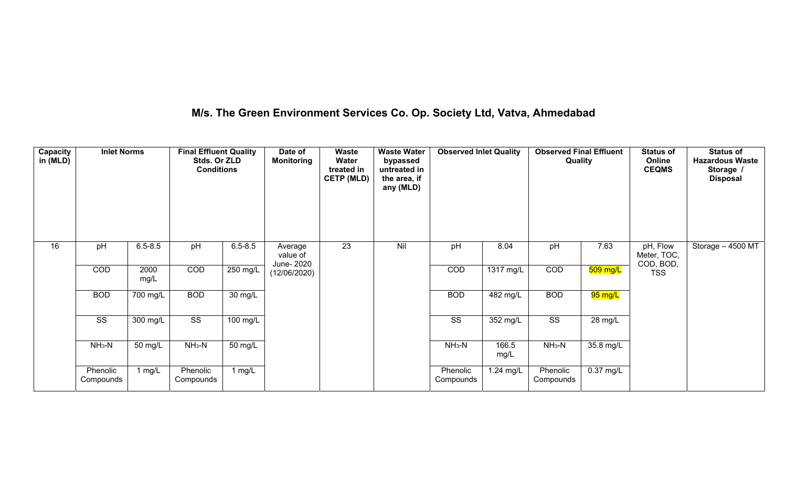# **M/s. The Green Environment Services Co. Op. Society Ltd, Vatva, Ahmedabad**

| Capacity<br>in (MLD) | <b>Inlet Norms</b>    |              | <b>Final Effluent Quality</b><br>Stds. Or ZLD<br><b>Conditions</b> |                      | Date of<br><b>Monitoring</b>      | <b>Waste</b><br>Water<br>treated in<br><b>CETP (MLD)</b> | <b>Waste Water</b><br>bypassed<br>untreated in<br>the area, if<br>any (MLD) | <b>Observed Inlet Quality</b> |                        | <b>Observed Final Effluent</b><br>Quality |                      | <b>Status of</b><br>Online<br><b>CEQMS</b> | <b>Status of</b><br><b>Hazardous Waste</b><br>Storage /<br><b>Disposal</b> |
|----------------------|-----------------------|--------------|--------------------------------------------------------------------|----------------------|-----------------------------------|----------------------------------------------------------|-----------------------------------------------------------------------------|-------------------------------|------------------------|-------------------------------------------|----------------------|--------------------------------------------|----------------------------------------------------------------------------|
| 16                   | pH                    | $6.5 - 8.5$  | pH                                                                 | $6.5 - 8.5$          | Average<br>value of<br>June- 2020 | 23                                                       | Nil                                                                         | pH                            | 8.04                   | pH                                        | 7.63                 | pH, Flow<br>Meter, TOC,<br>COD, BOD,       | Storage - 4500 MT                                                          |
|                      | COD                   | 2000<br>mg/L | COD                                                                | $250$ mg/L           | (12/06/2020)                      |                                                          |                                                                             | COD                           | $\overline{1317}$ mg/L | COD                                       | $509$ mg/L           | <b>TSS</b>                                 |                                                                            |
|                      | <b>BOD</b>            | 700 mg/L     | <b>BOD</b>                                                         | 30 mg/L              |                                   |                                                          |                                                                             | <b>BOD</b>                    | $\overline{482}$ mg/L  | <b>BOD</b>                                | <mark>95 mg/L</mark> |                                            |                                                                            |
|                      | SS                    | 300 mg/L     | $\overline{\text{ss}}$                                             | 100 mg/L             |                                   |                                                          |                                                                             | SS                            | 352 mg/L               | $\overline{\text{SS}}$                    | 28 mg/L              |                                            |                                                                            |
|                      | $NH3-N$               | 50 mg/L      | $NH3-N$                                                            | $\overline{50}$ mg/L |                                   |                                                          |                                                                             | $NH3-N$                       | 166.5<br>mg/L          | $NH3-N$                                   | $35.8 \text{ mg/L}$  |                                            |                                                                            |
|                      | Phenolic<br>Compounds | 1 $mg/L$     | Phenolic<br>Compounds                                              | 1 $mg/L$             |                                   |                                                          |                                                                             | Phenolic<br>Compounds         | 1.24 mg/L              | Phenolic<br>Compounds                     | $0.37$ mg/L          |                                            |                                                                            |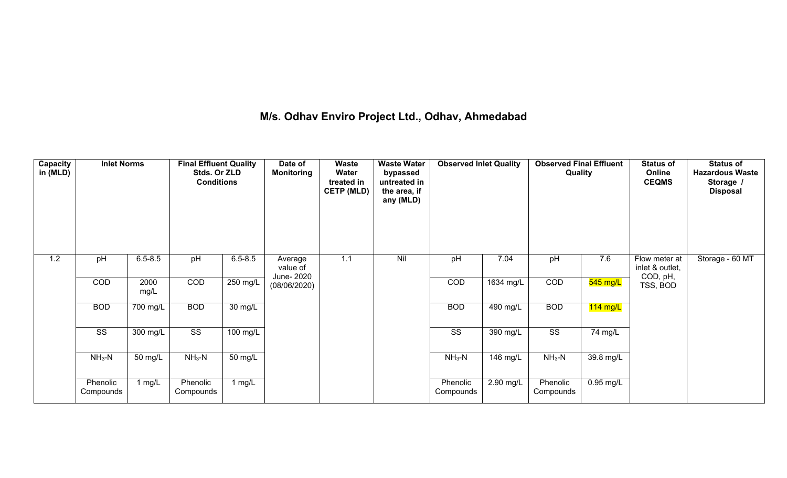## **M/s. Odhav Enviro Project Ltd., Odhav, Ahmedabad**

| Capacity<br>in (MLD) | <b>Inlet Norms</b>     |              | <b>Final Effluent Quality</b><br>Stds. Or ZLD<br><b>Conditions</b> |             | Date of<br><b>Monitoring</b>      | <b>Waste</b><br>Water<br>treated in<br><b>CETP (MLD)</b> | <b>Waste Water</b><br>bypassed<br>untreated in<br>the area, if<br>any (MLD) | <b>Observed Inlet Quality</b> |            | <b>Observed Final Effluent</b><br>Quality |             | <b>Status of</b><br>Online<br><b>CEQMS</b>   | <b>Status of</b><br><b>Hazardous Waste</b><br>Storage /<br><b>Disposal</b> |
|----------------------|------------------------|--------------|--------------------------------------------------------------------|-------------|-----------------------------------|----------------------------------------------------------|-----------------------------------------------------------------------------|-------------------------------|------------|-------------------------------------------|-------------|----------------------------------------------|----------------------------------------------------------------------------|
| 1.2                  | pH                     | $6.5 - 8.5$  | pH                                                                 | $6.5 - 8.5$ | Average<br>value of<br>June- 2020 | 1.1                                                      | Nil                                                                         | pH                            | 7.04       | pH                                        | 7.6         | Flow meter at<br>inlet & outlet,<br>COD, pH, | Storage - 60 MT                                                            |
|                      | COD                    | 2000<br>mg/L | COD                                                                | $250$ mg/L  | (08/06/2020)                      |                                                          |                                                                             | COD                           | 1634 mg/L  | COD                                       | $545$ mg/L  | TSS, BOD                                     |                                                                            |
|                      | <b>BOD</b>             | 700 mg/L     | <b>BOD</b>                                                         | 30 mg/L     |                                   |                                                          |                                                                             | <b>BOD</b>                    | $490$ mg/L | <b>BOD</b>                                | $114$ mg/L  |                                              |                                                                            |
|                      | $\overline{\text{SS}}$ | 300 mg/L     | $\overline{\text{SS}}$                                             | $100$ mg/L  |                                   |                                                          |                                                                             | $\overline{\text{SS}}$        | $390$ mg/L | $\overline{\text{SS}}$                    | 74 mg/L     |                                              |                                                                            |
|                      | $NH3-N$                | 50 mg/L      | $NH_3-N$                                                           | 50 mg/L     |                                   |                                                          |                                                                             | $NH3-N$                       | 146 mg/L   | $NH3-N$                                   | 39.8 mg/L   |                                              |                                                                            |
|                      | Phenolic<br>Compounds  | 1 mg/L       | Phenolic<br>Compounds                                              | 1 $mg/L$    |                                   |                                                          |                                                                             | Phenolic<br>Compounds         | 2.90 mg/L  | Phenolic<br>Compounds                     | $0.95$ mg/L |                                              |                                                                            |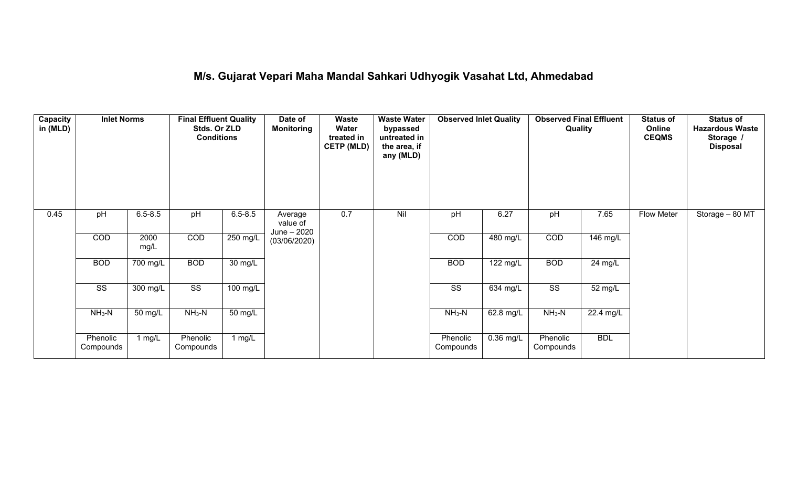## **M/s. Gujarat Vepari Maha Mandal Sahkari Udhyogik Vasahat Ltd, Ahmedabad**

| <b>Capacity</b><br>in (MLD) | <b>Inlet Norms</b>     |              | <b>Final Effluent Quality</b><br>Stds. Or ZLD<br><b>Conditions</b> |                      | Date of<br><b>Monitoring</b>       | Waste<br>Water<br>treated in<br><b>CETP (MLD)</b> | <b>Waste Water</b><br>bypassed<br>untreated in<br>the area, if<br>any (MLD) | <b>Observed Inlet Quality</b> |             | <b>Observed Final Effluent</b><br>Quality |            | <b>Status of</b><br>Online<br><b>CEQMS</b> | <b>Status of</b><br><b>Hazardous Waste</b><br>Storage /<br><b>Disposal</b> |
|-----------------------------|------------------------|--------------|--------------------------------------------------------------------|----------------------|------------------------------------|---------------------------------------------------|-----------------------------------------------------------------------------|-------------------------------|-------------|-------------------------------------------|------------|--------------------------------------------|----------------------------------------------------------------------------|
| 0.45                        | pH                     | $6.5 - 8.5$  | pH                                                                 | $6.5 - 8.5$          | Average<br>value of<br>June - 2020 | 0.7                                               | Nil                                                                         | pH                            | 6.27        | pH                                        | 7.65       | Flow Meter                                 | Storage - 80 MT                                                            |
|                             | COD                    | 2000<br>mg/L | COD                                                                | $250 \text{ mg/L}$   | (03/06/2020)                       |                                                   |                                                                             | COD                           | 480 mg/L    | COD                                       | 146 mg/L   |                                            |                                                                            |
|                             | <b>BOD</b>             | 700 mg/L     | <b>BOD</b>                                                         | $30 \text{ mg/L}$    |                                    |                                                   |                                                                             | <b>BOD</b>                    | 122 mg/L    | <b>BOD</b>                                | 24 mg/L    |                                            |                                                                            |
|                             | $\overline{\text{ss}}$ | $300$ mg/L   | $\overline{\text{SS}}$                                             | $100$ mg/L           |                                    |                                                   |                                                                             | $\overline{\text{ss}}$        | 634 mg/L    | $\overline{\text{ss}}$                    | 52 mg/L    |                                            |                                                                            |
|                             | $NH3-N$                | 50 mg/L      | $NH3-N$                                                            | $\overline{50}$ mg/L |                                    |                                                   |                                                                             | $NH3-N$                       | 62.8 mg/L   | $NH3-N$                                   | 22.4 mg/L  |                                            |                                                                            |
|                             | Phenolic<br>Compounds  | 1 $mg/L$     | Phenolic<br>Compounds                                              | 1 mg/L               |                                    |                                                   |                                                                             | Phenolic<br>Compounds         | $0.36$ mg/L | Phenolic<br>Compounds                     | <b>BDL</b> |                                            |                                                                            |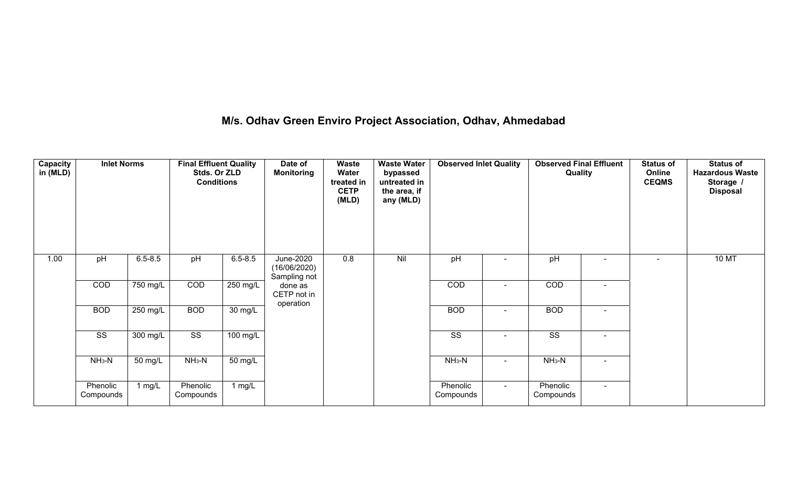# **M/s. Odhav Green Enviro Project Association, Odhav, Ahmedabad**

| Capacity<br>in (MLD) | <b>Inlet Norms</b>     |                    | <b>Final Effluent Quality</b><br>Stds. Or ZLD<br><b>Conditions</b> |                       | Date of<br><b>Monitoring</b>              | Waste<br>Water<br>treated in<br><b>CETP</b><br>(MLD) | <b>Waste Water</b><br>bypassed<br>untreated in<br>the area, if<br>any (MLD) | <b>Observed Inlet Quality</b> |        | <b>Observed Final Effluent</b><br>Quality |                          | <b>Status of</b><br>Online<br><b>CEQMS</b> | <b>Status of</b><br><b>Hazardous Waste</b><br>Storage /<br><b>Disposal</b> |
|----------------------|------------------------|--------------------|--------------------------------------------------------------------|-----------------------|-------------------------------------------|------------------------------------------------------|-----------------------------------------------------------------------------|-------------------------------|--------|-------------------------------------------|--------------------------|--------------------------------------------|----------------------------------------------------------------------------|
| 1.00                 | pH                     | $6.5 - 8.5$        | pH                                                                 | $6.5 - 8.5$           | June-2020<br>(16/06/2020)<br>Sampling not | 0.8                                                  | Nil                                                                         | pH                            |        | pH                                        | $\overline{\phantom{0}}$ | $\blacksquare$                             | <b>10 MT</b>                                                               |
|                      | COD                    | $750$ mg/L         | COD                                                                | 250 mg/L              | done as<br>CETP not in<br>operation       |                                                      |                                                                             | COD                           |        | COD                                       | $\sim$                   |                                            |                                                                            |
|                      | <b>BOD</b>             | $250 \text{ mg/L}$ | <b>BOD</b>                                                         | $30 \text{ mg/L}$     |                                           |                                                      |                                                                             | <b>BOD</b>                    |        | <b>BOD</b>                                | $\blacksquare$           |                                            |                                                                            |
|                      | $\overline{\text{ss}}$ | 300 mg/L           | $\overline{\text{ss}}$                                             | $\overline{100}$ mg/L |                                           |                                                      |                                                                             | $\overline{\text{SS}}$        | $\sim$ | $\overline{\text{ss}}$                    | $\blacksquare$           |                                            |                                                                            |
|                      | $NH3-N$                | 50 mg/L            | $NH3-N$                                                            | 50 mg/L               |                                           |                                                      |                                                                             | $NH3-N$                       | $\sim$ | $NH3-N$                                   | $\blacksquare$           |                                            |                                                                            |
|                      | Phenolic<br>Compounds  | 1 $mg/L$           | Phenolic<br>Compounds                                              | $1$ mg/L              |                                           |                                                      |                                                                             | Phenolic<br>Compounds         | $\sim$ | Phenolic<br>Compounds                     | $\blacksquare$           |                                            |                                                                            |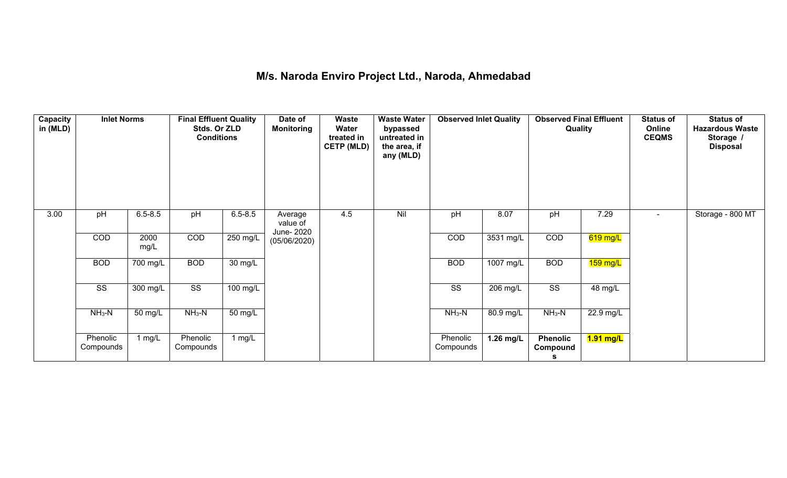## **M/s. Naroda Enviro Project Ltd., Naroda, Ahmedabad**

| Capacity<br>in (MLD) | <b>Inlet Norms</b>     |              | <b>Final Effluent Quality</b><br>Stds. Or ZLD<br><b>Conditions</b> |                    | Date of<br><b>Monitoring</b>      | Waste<br>Water<br>treated in<br><b>CETP (MLD)</b> | <b>Waste Water</b><br>bypassed<br>untreated in<br>the area, if<br>any (MLD) | <b>Observed Inlet Quality</b> |                               | <b>Observed Final Effluent</b><br>Quality |                        | <b>Status of</b><br>Online<br><b>CEQMS</b> | <b>Status of</b><br><b>Hazardous Waste</b><br>Storage /<br><b>Disposal</b> |
|----------------------|------------------------|--------------|--------------------------------------------------------------------|--------------------|-----------------------------------|---------------------------------------------------|-----------------------------------------------------------------------------|-------------------------------|-------------------------------|-------------------------------------------|------------------------|--------------------------------------------|----------------------------------------------------------------------------|
| 3.00                 | pH                     | $6.5 - 8.5$  | pH                                                                 | $6.5 - 8.5$        | Average<br>value of<br>June- 2020 | 4.5                                               | Nil                                                                         | pH                            | 8.07                          | pH                                        | 7.29                   | $\sim$                                     | Storage - 800 MT                                                           |
|                      | COD                    | 2000<br>mg/L | COD                                                                | $250 \text{ mg/L}$ | (05/06/2020)                      |                                                   |                                                                             | COD                           | 3531 mg/L                     | COD                                       | 619 mg/L               |                                            |                                                                            |
|                      | <b>BOD</b>             | $700$ mg/L   | <b>BOD</b>                                                         | $30 \text{ mg/L}$  |                                   |                                                   |                                                                             | <b>BOD</b>                    | $1007 \overline{\text{mg/L}}$ | <b>BOD</b>                                | 159 mg/L               |                                            |                                                                            |
|                      | $\overline{\text{ss}}$ | $300$ mg/L   | $\overline{\text{ss}}$                                             | $100$ mg/L         |                                   |                                                   |                                                                             | $\overline{\text{SS}}$        | $206$ mg/L                    | $\overline{\text{SS}}$                    | 48 mg/L                |                                            |                                                                            |
|                      | $NH3-N$                | 50 mg/L      | $NH3-N$                                                            | 50 mg/L            |                                   |                                                   |                                                                             | $NH3-N$                       | 80.9 mg/L                     | $NH3-N$                                   | 22.9 mg/L              |                                            |                                                                            |
|                      | Phenolic<br>Compounds  | 1 $mg/L$     | Phenolic<br>Compounds                                              | 1 $mg/L$           |                                   |                                                   |                                                                             | Phenolic<br>Compounds         | $1.26$ mg/L                   | <b>Phenolic</b><br>Compound<br>s          | <mark>1.91 mg/L</mark> |                                            |                                                                            |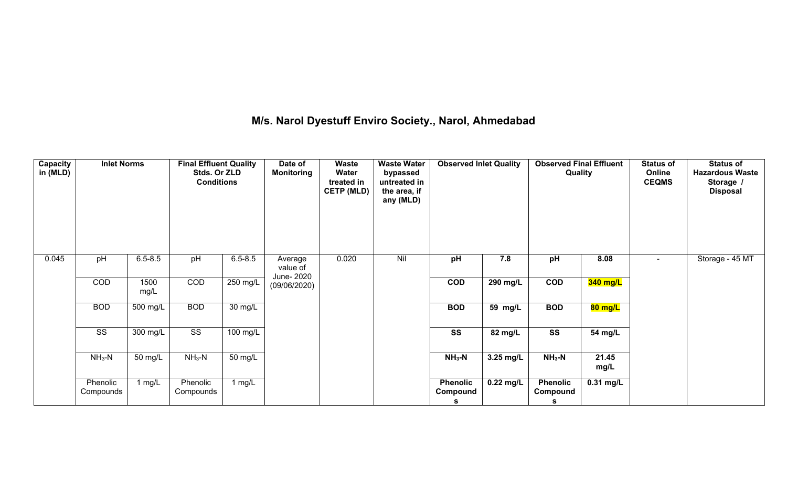# **M/s. Narol Dyestuff Enviro Society., Narol, Ahmedabad**

| Capacity<br>in (MLD) | <b>Inlet Norms</b>     |              | <b>Final Effluent Quality</b><br>Stds. Or ZLD<br><b>Conditions</b> |                    | Date of<br><b>Monitoring</b>      | Waste<br>Water<br>treated in<br><b>CETP (MLD)</b> | <b>Waste Water</b><br>bypassed<br>untreated in<br>the area, if<br>any (MLD) | <b>Observed Inlet Quality</b>    |                      | <b>Observed Final Effluent</b><br>Quality |               | <b>Status of</b><br>Online<br><b>CEQMS</b> | <b>Status of</b><br><b>Hazardous Waste</b><br>Storage /<br><b>Disposal</b> |
|----------------------|------------------------|--------------|--------------------------------------------------------------------|--------------------|-----------------------------------|---------------------------------------------------|-----------------------------------------------------------------------------|----------------------------------|----------------------|-------------------------------------------|---------------|--------------------------------------------|----------------------------------------------------------------------------|
| 0.045                | pH                     | $6.5 - 8.5$  | pH                                                                 | $6.5 - 8.5$        | Average<br>value of<br>June- 2020 | 0.020                                             | Nil                                                                         | pH                               | 7.8                  | pH                                        | 8.08          | $\sim$                                     | Storage - 45 MT                                                            |
|                      | COD                    | 1500<br>mg/L | COD                                                                | 250 mg/L           | (09/06/2020)                      |                                                   |                                                                             | COD                              | $290$ mg/L           | $\overline{COD}$                          | 340 mg/L      |                                            |                                                                            |
|                      | <b>BOD</b>             | 500 mg/L     | <b>BOD</b>                                                         | 30 mg/L            |                                   |                                                   |                                                                             | <b>BOD</b>                       | $\overline{59}$ mg/L | <b>BOD</b>                                | 80 mg/L       |                                            |                                                                            |
|                      | $\overline{\text{ss}}$ | $300$ mg/L   | $\overline{\text{SS}}$                                             | $100 \text{ mg/L}$ |                                   |                                                   |                                                                             | $\overline{\text{ss}}$           | 82 mg/L              | $\overline{\text{ss}}$                    | 54 mg/L       |                                            |                                                                            |
|                      | $NH3-N$                | 50 mg/L      | $NH3-N$                                                            | 50 mg/L            |                                   |                                                   |                                                                             | $NH3-N$                          | 3.25 mg/L            | $NH_3-N$                                  | 21.45<br>mg/L |                                            |                                                                            |
|                      | Phenolic<br>Compounds  | 1 $mg/L$     | Phenolic<br>Compounds                                              | 1 $mg/L$           |                                   |                                                   |                                                                             | <b>Phenolic</b><br>Compound<br>s | $0.22$ mg/L          | <b>Phenolic</b><br>Compound<br>s          | $0.31$ mg/L   |                                            |                                                                            |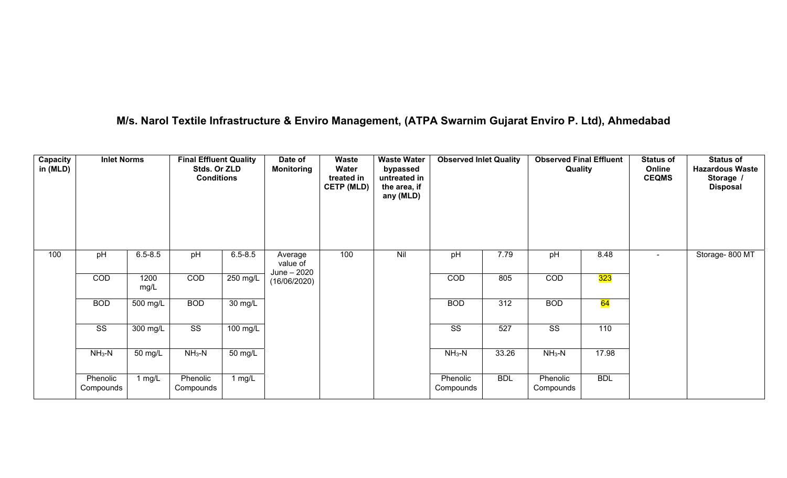# **M/s. Narol Textile Infrastructure & Enviro Management, (ATPA Swarnim Gujarat Enviro P. Ltd), Ahmedabad**

| Capacity<br>in (MLD) | <b>Inlet Norms</b>     |              | <b>Final Effluent Quality</b><br>Stds. Or ZLD<br><b>Conditions</b> |             | Date of<br><b>Monitoring</b> | <b>Waste</b><br>Water<br>treated in<br><b>CETP (MLD)</b> | <b>Waste Water</b><br>bypassed<br>untreated in<br>the area, if<br>any (MLD) | <b>Observed Inlet Quality</b> |            | <b>Observed Final Effluent</b><br>Quality |            | <b>Status of</b><br>Online<br><b>CEQMS</b> | <b>Status of</b><br><b>Hazardous Waste</b><br>Storage /<br><b>Disposal</b> |
|----------------------|------------------------|--------------|--------------------------------------------------------------------|-------------|------------------------------|----------------------------------------------------------|-----------------------------------------------------------------------------|-------------------------------|------------|-------------------------------------------|------------|--------------------------------------------|----------------------------------------------------------------------------|
| 100                  | pH                     | $6.5 - 8.5$  | pH                                                                 | $6.5 - 8.5$ | Average<br>value of          | 100                                                      | Nil                                                                         | pH                            | 7.79       | pH                                        | 8.48       | $\overline{\phantom{a}}$                   | Storage-800 MT                                                             |
|                      | COD                    | 1200<br>mg/L | COD                                                                | 250 mg/L    | June - 2020<br>(16/06/2020)  |                                                          |                                                                             | COD                           | 805        | COD                                       | 323        |                                            |                                                                            |
|                      | <b>BOD</b>             | 500 mg/L     | <b>BOD</b>                                                         | 30 mg/L     |                              |                                                          |                                                                             | <b>BOD</b>                    | 312        | <b>BOD</b>                                | 64         |                                            |                                                                            |
|                      | $\overline{\text{ss}}$ | 300 mg/L     | $\overline{\text{SS}}$                                             | 100 mg/L    |                              |                                                          |                                                                             | $\overline{\text{ss}}$        | 527        | $\overline{\text{SS}}$                    | 110        |                                            |                                                                            |
|                      | $NH3-N$                | 50 mg/L      | $NH3-N$                                                            | 50 mg/L     |                              |                                                          |                                                                             | $NH3-N$                       | 33.26      | $NH3-N$                                   | 17.98      |                                            |                                                                            |
|                      | Phenolic<br>Compounds  | 1 mg/L       | Phenolic<br>Compounds                                              | 1 $mg/L$    |                              |                                                          |                                                                             | Phenolic<br>Compounds         | <b>BDL</b> | Phenolic<br>Compounds                     | <b>BDL</b> |                                            |                                                                            |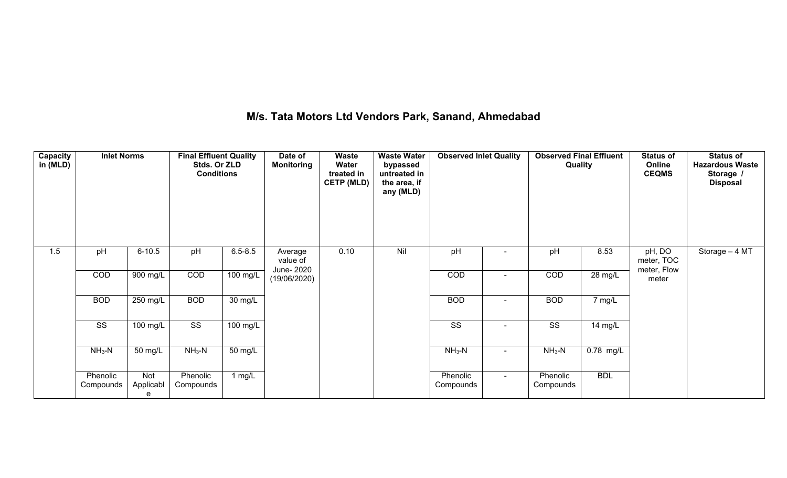## **M/s. Tata Motors Ltd Vendors Park, Sanand, Ahmedabad**

| Capacity<br>in (MLD) | <b>Inlet Norms</b>     |                       | <b>Final Effluent Quality</b><br>Stds. Or ZLD<br><b>Conditions</b> |             | Date of<br><b>Monitoring</b>      | <b>Waste</b><br>Water<br>treated in<br><b>CETP (MLD)</b> | <b>Waste Water</b><br>bypassed<br>untreated in<br>the area, if<br>any (MLD) | <b>Observed Inlet Quality</b> |                | <b>Observed Final Effluent</b><br>Quality |             | <b>Status of</b><br>Online<br><b>CEQMS</b> | <b>Status of</b><br><b>Hazardous Waste</b><br>Storage /<br><b>Disposal</b> |
|----------------------|------------------------|-----------------------|--------------------------------------------------------------------|-------------|-----------------------------------|----------------------------------------------------------|-----------------------------------------------------------------------------|-------------------------------|----------------|-------------------------------------------|-------------|--------------------------------------------|----------------------------------------------------------------------------|
| 1.5                  | pH                     | $6 - 10.5$            | pH                                                                 | $6.5 - 8.5$ | Average<br>value of<br>June- 2020 | 0.10                                                     | Nil                                                                         | pH                            | $\blacksquare$ | pH                                        | 8.53        | pH, DO<br>meter, TOC<br>meter, Flow        | Storage - 4 MT                                                             |
|                      | COD                    | $900$ mg/L            | COD                                                                | $100$ mg/L  | (19/06/2020)                      |                                                          |                                                                             | COD                           | ٠              | COD                                       | 28 mg/L     | meter                                      |                                                                            |
|                      | <b>BOD</b>             | $250$ mg/L            | <b>BOD</b>                                                         | 30 mg/L     |                                   |                                                          |                                                                             | <b>BOD</b>                    |                | <b>BOD</b>                                | 7 mg/L      |                                            |                                                                            |
|                      | $\overline{\text{ss}}$ | $100 \text{ mg/L}$    | $\overline{\text{ss}}$                                             | 100 mg/L    |                                   |                                                          |                                                                             | $\overline{\text{SS}}$        | $\blacksquare$ | $\overline{\text{ss}}$                    | 14 mg/L     |                                            |                                                                            |
|                      | $NH3-N$                | 50 mg/L               | $NH3-N$                                                            | 50 mg/L     |                                   |                                                          |                                                                             | $NH3-N$                       | $\sim$         | $NH3-N$                                   | $0.78$ mg/L |                                            |                                                                            |
|                      | Phenolic<br>Compounds  | Not<br>Applicabl<br>e | Phenolic<br>Compounds                                              | 1 $mg/L$    |                                   |                                                          |                                                                             | Phenolic<br>Compounds         | $\sim$         | Phenolic<br>Compounds                     | <b>BDL</b>  |                                            |                                                                            |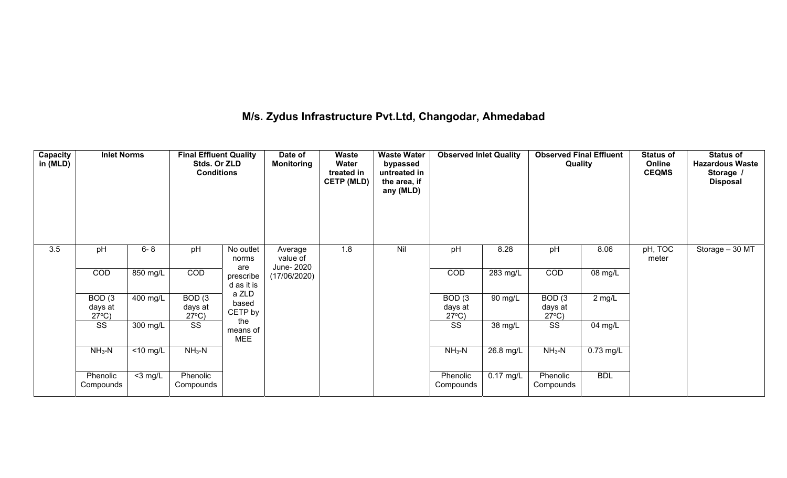## **M/s. Zydus Infrastructure Pvt.Ltd, Changodar, Ahmedabad**

| Capacity<br>in (MLD) | <b>Inlet Norms</b>                   |             | <b>Final Effluent Quality</b><br>Stds. Or ZLD<br><b>Conditions</b> |                               | Date of<br><b>Monitoring</b>      | Waste<br><b>Water</b><br>treated in<br><b>CETP (MLD)</b> | <b>Waste Water</b><br>bypassed<br>untreated in<br>the area, if<br>any (MLD) | <b>Observed Inlet Quality</b>        |                        | <b>Observed Final Effluent</b><br>Quality |                        | <b>Status of</b><br>Online<br><b>CEQMS</b> | <b>Status of</b><br><b>Hazardous Waste</b><br>Storage /<br><b>Disposal</b> |
|----------------------|--------------------------------------|-------------|--------------------------------------------------------------------|-------------------------------|-----------------------------------|----------------------------------------------------------|-----------------------------------------------------------------------------|--------------------------------------|------------------------|-------------------------------------------|------------------------|--------------------------------------------|----------------------------------------------------------------------------|
| 3.5                  | pH                                   | $6 - 8$     | pH                                                                 | No outlet<br>norms<br>are     | Average<br>value of<br>June- 2020 | 1.8                                                      | Nil                                                                         | pH                                   | 8.28                   | pH                                        | 8.06                   | pH, TOC<br>meter                           | Storage $-30$ MT                                                           |
|                      | COD                                  | 850 mg/L    | COD                                                                | prescribe<br>d as it is       | (17/06/2020)                      |                                                          |                                                                             | <b>COD</b>                           | 283 mg/L               | <b>COD</b>                                | $\overline{0}8$ mg/L   |                                            |                                                                            |
|                      | BOD(3)<br>days at<br>$27^{\circ}$ C) | $400$ mg/L  | BOD(3)<br>days at<br>$27^{\circ}$ C)                               | a ZLD<br>based<br>CETP by     |                                   |                                                          |                                                                             | BOD(3)<br>days at<br>$27^{\circ}$ C) | 90 mg/L                | BOD(3)<br>days at<br>$27^{\circ}C$ )      | $2$ mg/L               |                                            |                                                                            |
|                      | SS                                   | 300 mg/L    | SS                                                                 | the<br>means of<br><b>MEE</b> |                                   |                                                          |                                                                             | SS                                   | 38 mg/L                | SS                                        | 04 mg/L                |                                            |                                                                            |
|                      | $NH3-N$                              | $<$ 10 mg/L | $NH3-N$                                                            |                               |                                   |                                                          |                                                                             | $NH3-N$                              | $\overline{26.8}$ mg/L | $NH3-N$                                   | $\overline{0.73}$ mg/L |                                            |                                                                            |
|                      | Phenolic<br>Compounds                | $<$ 3 mg/L  | Phenolic<br>Compounds                                              |                               |                                   |                                                          |                                                                             | Phenolic<br>Compounds                | $0.17 \text{ mg/L}$    | Phenolic<br>Compounds                     | <b>BDL</b>             |                                            |                                                                            |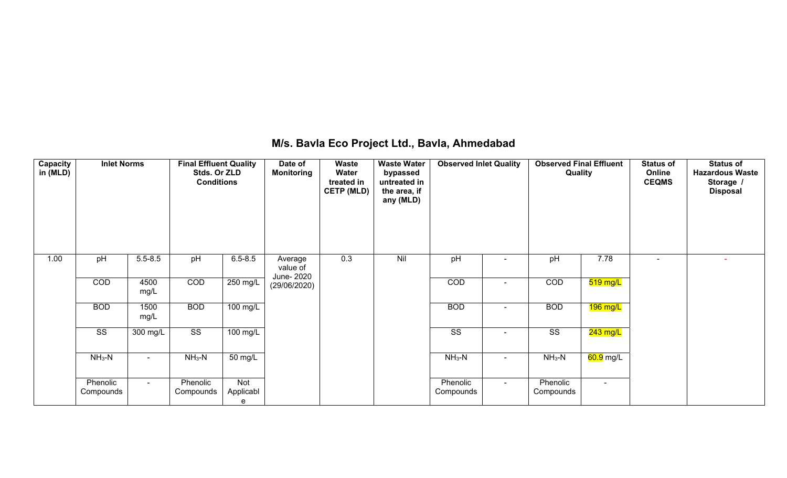| <b>Capacity</b><br>in (MLD) | <b>Inlet Norms</b>     |                | <b>Final Effluent Quality</b><br>Stds. Or ZLD<br><b>Conditions</b> |                       | Date of<br><b>Monitoring</b>      | Waste<br>Water<br>treated in<br><b>CETP (MLD)</b> | <b>Waste Water</b><br>bypassed<br>untreated in<br>the area, if<br>any (MLD) | <b>Observed Inlet Quality</b> |                          | <b>Observed Final Effluent</b><br>Quality |            | <b>Status of</b><br>Online<br><b>CEQMS</b> | <b>Status of</b><br><b>Hazardous Waste</b><br>Storage /<br><b>Disposal</b> |
|-----------------------------|------------------------|----------------|--------------------------------------------------------------------|-----------------------|-----------------------------------|---------------------------------------------------|-----------------------------------------------------------------------------|-------------------------------|--------------------------|-------------------------------------------|------------|--------------------------------------------|----------------------------------------------------------------------------|
| 1.00                        | pH                     | $5.5 - 8.5$    | pH                                                                 | $6.5 - 8.5$           | Average<br>value of<br>June- 2020 | 0.3                                               | Nil                                                                         | pH                            | $\sim$                   | pH                                        | 7.78       | $\blacksquare$                             |                                                                            |
|                             | COD                    | 4500<br>mg/L   | COD                                                                | 250 mg/L              | (29/06/2020)                      |                                                   |                                                                             | COD                           | $\overline{\phantom{0}}$ | COD                                       | $519$ mg/L |                                            |                                                                            |
|                             | <b>BOD</b>             | 1500<br>mg/L   | <b>BOD</b>                                                         | $100 \text{ mg/L}$    |                                   |                                                   |                                                                             | <b>BOD</b>                    | $\blacksquare$           | <b>BOD</b>                                | $196$ mg/L |                                            |                                                                            |
|                             | $\overline{\text{ss}}$ | 300 mg/L       | $\overline{\text{ss}}$                                             | $100$ mg/L            |                                   |                                                   |                                                                             | $\overline{\text{SS}}$        |                          | $\overline{\text{SS}}$                    | $243$ mg/L |                                            |                                                                            |
|                             | $NH3-N$                | $\blacksquare$ | $NH3-N$                                                            | 50 mg/L               |                                   |                                                   |                                                                             | $NH3-N$                       | $\sim$                   | $NH3-N$                                   | 60.9 mg/L  |                                            |                                                                            |
|                             | Phenolic<br>Compounds  | $\sim$         | Phenolic<br>Compounds                                              | Not<br>Applicabl<br>e |                                   |                                                   |                                                                             | Phenolic<br>Compounds         | $\sim$                   | Phenolic<br>Compounds                     | $\sim$     |                                            |                                                                            |

## **M/s. Bavla Eco Project Ltd., Bavla, Ahmedabad**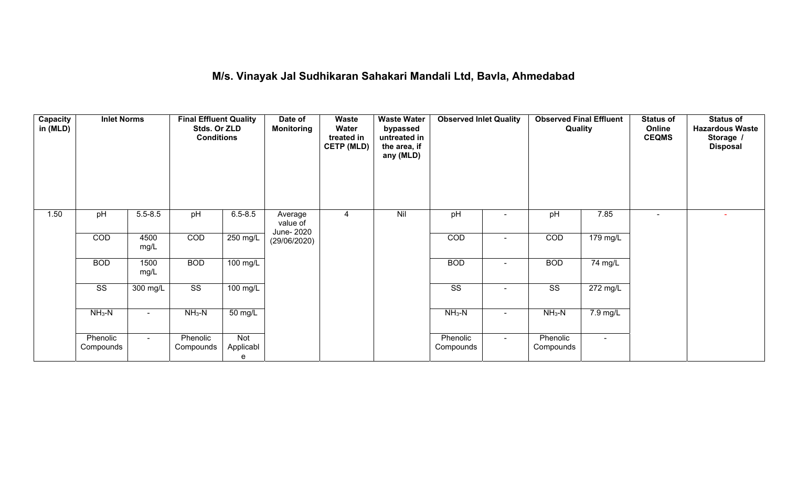## **M/s. Vinayak Jal Sudhikaran Sahakari Mandali Ltd, Bavla, Ahmedabad**

| Capacity<br>in (MLD) | <b>Inlet Norms</b>     |                | <b>Final Effluent Quality</b><br>Stds. Or ZLD<br><b>Conditions</b> |                       | Date of<br><b>Monitoring</b>      | Waste<br>Water<br>treated in<br><b>CETP (MLD)</b> | <b>Waste Water</b><br>bypassed<br>untreated in<br>the area, if<br>any (MLD) | <b>Observed Inlet Quality</b> |                          | <b>Observed Final Effluent</b><br>Quality |                       | <b>Status of</b><br>Online<br><b>CEQMS</b> | <b>Status of</b><br><b>Hazardous Waste</b><br>Storage /<br><b>Disposal</b> |
|----------------------|------------------------|----------------|--------------------------------------------------------------------|-----------------------|-----------------------------------|---------------------------------------------------|-----------------------------------------------------------------------------|-------------------------------|--------------------------|-------------------------------------------|-----------------------|--------------------------------------------|----------------------------------------------------------------------------|
| 1.50                 | pH                     | $5.5 - 8.5$    | pH                                                                 | $6.5 - 8.5$           | Average<br>value of<br>June- 2020 | 4                                                 | Nil                                                                         | pH                            | ٠                        | pH                                        | 7.85                  | $\overline{\phantom{a}}$                   |                                                                            |
|                      | COD                    | 4500<br>mg/L   | COD                                                                | $250 \text{ mg/L}$    | (29/06/2020)                      |                                                   |                                                                             | COD                           | $\sim$                   | COD                                       | 179 mg/L              |                                            |                                                                            |
|                      | <b>BOD</b>             | 1500<br>mg/L   | <b>BOD</b>                                                         | $100$ mg/L            |                                   |                                                   |                                                                             | <b>BOD</b>                    | ۰                        | <b>BOD</b>                                | 74 mg/L               |                                            |                                                                            |
|                      | $\overline{\text{SS}}$ | $300$ mg/L     | $\overline{\text{SS}}$                                             | $100$ mg/L            |                                   |                                                   |                                                                             | $\overline{\text{SS}}$        | $\blacksquare$           | $\overline{\text{ss}}$                    | $\overline{272}$ mg/L |                                            |                                                                            |
|                      | $NH3-N$                | $\blacksquare$ | $NH3-N$                                                            | 50 mg/L               |                                   |                                                   |                                                                             | $NH_3-N$                      | $\overline{\phantom{a}}$ | $NH3-N$                                   | $7.9 \text{ mg/L}$    |                                            |                                                                            |
|                      | Phenolic<br>Compounds  | $\blacksquare$ | Phenolic<br>Compounds                                              | Not<br>Applicabl<br>e |                                   |                                                   |                                                                             | Phenolic<br>Compounds         | $\blacksquare$           | Phenolic<br>Compounds                     | $\blacksquare$        |                                            |                                                                            |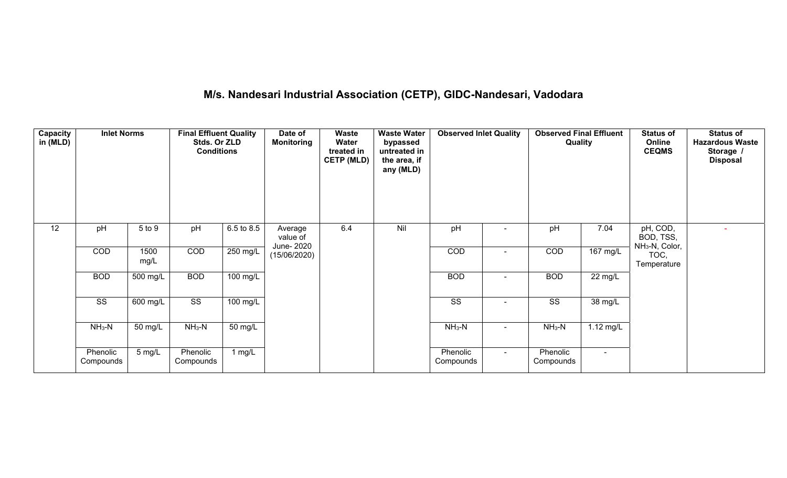# **M/s. Nandesari Industrial Association (CETP), GIDC-Nandesari, Vadodara**

| <b>Capacity</b><br>in (MLD) | <b>Inlet Norms</b>    |              | <b>Final Effluent Quality</b><br>Stds. Or ZLD<br><b>Conditions</b> |                   | Date of<br><b>Monitoring</b>      | Waste<br>Water<br>treated in<br><b>CETP (MLD)</b> | <b>Waste Water</b><br>bypassed<br>untreated in<br>the area, if<br>any (MLD) | <b>Observed Inlet Quality</b> |        | <b>Observed Final Effluent</b><br>Quality |                     | <b>Status of</b><br>Online<br><b>CEQMS</b>          | <b>Status of</b><br><b>Hazardous Waste</b><br>Storage /<br><b>Disposal</b> |
|-----------------------------|-----------------------|--------------|--------------------------------------------------------------------|-------------------|-----------------------------------|---------------------------------------------------|-----------------------------------------------------------------------------|-------------------------------|--------|-------------------------------------------|---------------------|-----------------------------------------------------|----------------------------------------------------------------------------|
| 12                          | pH                    | 5 to 9       | pH                                                                 | 6.5 to 8.5        | Average<br>value of<br>June- 2020 | 6.4                                               | Nil                                                                         | pH                            |        | pH                                        | 7.04                | pH, COD,<br>BOD, TSS,<br>NH <sub>3</sub> -N, Color, |                                                                            |
|                             | COD                   | 1500<br>mg/L | COD                                                                | $250$ mg/L        | (15/06/2020)                      |                                                   |                                                                             | COD                           |        | COD                                       | $167 \text{ mg/L}$  | TOC,<br>Temperature                                 |                                                                            |
|                             | <b>BOD</b>            | 500 mg/L     | <b>BOD</b>                                                         | 100 mg/L          |                                   |                                                   |                                                                             | <b>BOD</b>                    |        | <b>BOD</b>                                | 22 mg/L             |                                                     |                                                                            |
|                             | SS                    | 600 mg/L     | SS                                                                 | 100 mg/L          |                                   |                                                   |                                                                             | SS                            |        | SS                                        | 38 mg/L             |                                                     |                                                                            |
|                             | $NH3-N$               | 50 mg/L      | $NH3-N$                                                            | $50 \text{ mg/L}$ |                                   |                                                   |                                                                             | $NH3-N$                       | $\sim$ | $NH3-N$                                   | $1.12 \text{ mg/L}$ |                                                     |                                                                            |
|                             | Phenolic<br>Compounds | 5 mg/L       | Phenolic<br>Compounds                                              | $1$ mg/L          |                                   |                                                   |                                                                             | Phenolic<br>Compounds         | $\sim$ | Phenolic<br>Compounds                     | $\blacksquare$      |                                                     |                                                                            |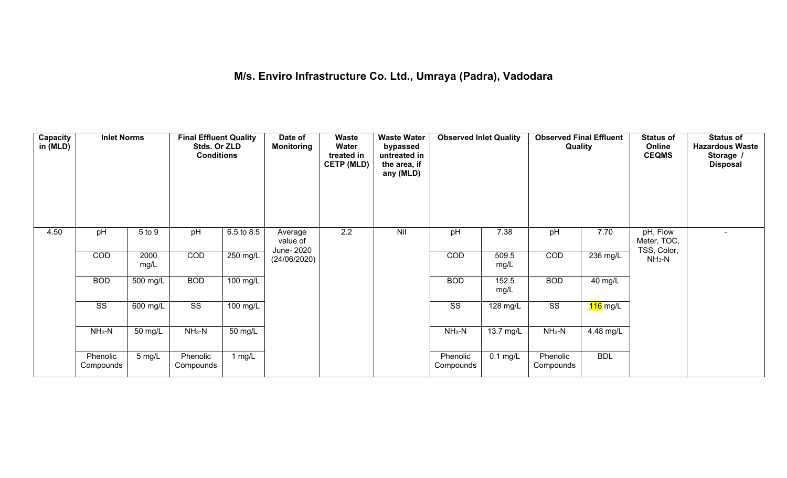## **M/s. Enviro Infrastructure Co. Ltd., Umraya (Padra), Vadodara**

| Capacity<br>in (MLD) | <b>Inlet Norms</b>    |              | <b>Final Effluent Quality</b><br>Stds. Or ZLD<br><b>Conditions</b> |            | Date of<br><b>Monitoring</b>      | <b>Waste</b><br>Water<br>treated in<br><b>CETP (MLD)</b> | <b>Waste Water</b><br>bypassed<br>untreated in<br>the area, if<br>any (MLD) | <b>Observed Inlet Quality</b> |                     | <b>Observed Final Effluent</b><br>Quality |            | <b>Status of</b><br>Online<br><b>CEQMS</b> | <b>Status of</b><br><b>Hazardous Waste</b><br>Storage /<br><b>Disposal</b> |
|----------------------|-----------------------|--------------|--------------------------------------------------------------------|------------|-----------------------------------|----------------------------------------------------------|-----------------------------------------------------------------------------|-------------------------------|---------------------|-------------------------------------------|------------|--------------------------------------------|----------------------------------------------------------------------------|
| 4.50                 | pH                    | 5 to 9       | pH                                                                 | 6.5 to 8.5 | Average<br>value of<br>June- 2020 | 2.2                                                      | Nil                                                                         | pH                            | 7.38                | pH                                        | 7.70       | pH, Flow<br>Meter, TOC,                    |                                                                            |
|                      | <b>COD</b>            | 2000<br>mg/L | COD                                                                | $250$ mg/L | (24/06/2020)                      |                                                          |                                                                             | <b>COD</b>                    | 509.5<br>mg/L       | COD                                       | 236 mg/L   | TSS, Color,<br>$NH3-N$                     |                                                                            |
|                      | <b>BOD</b>            | $500$ mg/L   | <b>BOD</b>                                                         | 100 mg/L   |                                   |                                                          |                                                                             | <b>BOD</b>                    | 152.5<br>mg/L       | <b>BOD</b>                                | 40 mg/L    |                                            |                                                                            |
|                      | SS                    | 600 mg/L     | $\overline{\text{ss}}$                                             | 100 mg/L   |                                   |                                                          |                                                                             | SS                            | 128 mg/L            | $\overline{\text{SS}}$                    | 116 mg/L   |                                            |                                                                            |
|                      | $NH3-N$               | 50 mg/L      | $NH3-N$                                                            | 50 mg/L    |                                   |                                                          |                                                                             | $NH3-N$                       | $13.7 \text{ mg/L}$ | $NH3-N$                                   | 4.48 mg/L  |                                            |                                                                            |
|                      | Phenolic<br>Compounds | 5 mg/L       | Phenolic<br>Compounds                                              | 1 $mg/L$   |                                   |                                                          |                                                                             | Phenolic<br>Compounds         | $0.1$ mg/L          | Phenolic<br>Compounds                     | <b>BDL</b> |                                            |                                                                            |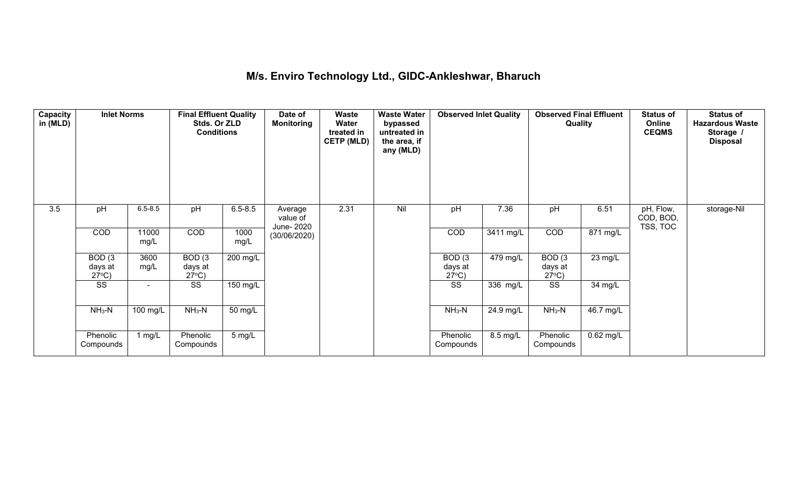## **M/s. Enviro Technology Ltd., GIDC-Ankleshwar, Bharuch**

| Capacity<br>in (MLD) | <b>Inlet Norms</b>                   |                          | <b>Final Effluent Quality</b><br>Stds. Or ZLD<br><b>Conditions</b> |                  | Date of<br><b>Monitoring</b>      | Waste<br>Water<br>treated in<br><b>CETP (MLD)</b> | <b>Waste Water</b><br>bypassed<br>untreated in<br>the area, if<br>any (MLD) | <b>Observed Inlet Quality</b>        |           | <b>Observed Final Effluent</b><br>Quality |             | <b>Status of</b><br>Online<br><b>CEQMS</b> | <b>Status of</b><br><b>Hazardous Waste</b><br>Storage /<br><b>Disposal</b> |
|----------------------|--------------------------------------|--------------------------|--------------------------------------------------------------------|------------------|-----------------------------------|---------------------------------------------------|-----------------------------------------------------------------------------|--------------------------------------|-----------|-------------------------------------------|-------------|--------------------------------------------|----------------------------------------------------------------------------|
| 3.5                  | pH                                   | $6.5 - 8.5$              | pH                                                                 | $6.5 - 8.5$      | Average<br>value of<br>June- 2020 | 2.31                                              | Nil                                                                         | pH                                   | 7.36      | pH                                        | 6.51        | pH, Flow,<br>COD, BOD,<br>TSS, TOC         | storage-Nil                                                                |
|                      | COD                                  | 11000<br>mg/L            | <b>COD</b>                                                         | 1000<br>mg/L     | (30/06/2020)                      |                                                   |                                                                             | COD                                  | 3411 mg/L | <b>COD</b>                                | 871 mg/L    |                                            |                                                                            |
|                      | BOD(3)<br>days at<br>$27^{\circ}$ C) | 3600<br>mg/L             | BOD(3)<br>days at<br>$27^{\circ}$ C)                               | 200 mg/L         |                                   |                                                   |                                                                             | BOD(3)<br>days at<br>$27^{\circ}$ C) | 479 mg/L  | BOD(3)<br>days at<br>$27^{\circ}$ C)      | $23$ mg/L   |                                            |                                                                            |
|                      | SS                                   | $\overline{\phantom{0}}$ | SS                                                                 | 150 mg/L         |                                   |                                                   |                                                                             | SS                                   | 336 mg/L  | SS                                        | 34 mg/L     |                                            |                                                                            |
|                      | $NH3-N$                              | 100 mg/L                 | $NH3-N$                                                            | 50 mg/L          |                                   |                                                   |                                                                             | $NH3-N$                              | 24.9 mg/L | $NH3-N$                                   | 46.7 mg/L   |                                            |                                                                            |
|                      | Phenolic<br>Compounds                | 1 mg/L                   | Phenolic<br>Compounds                                              | $5 \text{ mg/L}$ |                                   |                                                   |                                                                             | Phenolic<br>Compounds                | 8.5 mg/L  | Phenolic<br>Compounds                     | $0.62$ mg/L |                                            |                                                                            |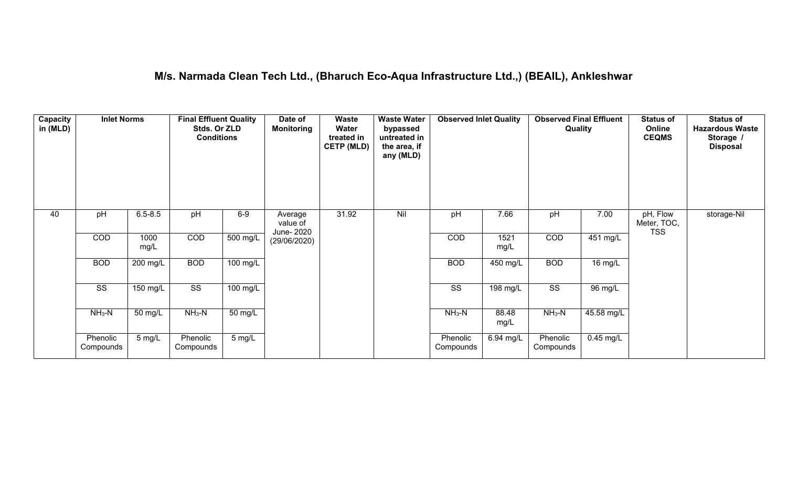## **M/s. Narmada Clean Tech Ltd., (Bharuch Eco-Aqua Infrastructure Ltd.,) (BEAIL), Ankleshwar**

| Capacity<br>in (MLD) | <b>Inlet Norms</b>     |                  | <b>Final Effluent Quality</b><br>Stds. Or ZLD<br><b>Conditions</b> |                    | Date of<br><b>Monitoring</b>      | <b>Waste</b><br>Water<br>treated in<br><b>CETP (MLD)</b> | <b>Waste Water</b><br>bypassed<br>untreated in<br>the area, if<br>any (MLD) | <b>Observed Inlet Quality</b> |                    | <b>Observed Final Effluent</b><br>Quality |                       | <b>Status of</b><br>Online<br><b>CEQMS</b> | <b>Status of</b><br><b>Hazardous Waste</b><br>Storage /<br><b>Disposal</b> |
|----------------------|------------------------|------------------|--------------------------------------------------------------------|--------------------|-----------------------------------|----------------------------------------------------------|-----------------------------------------------------------------------------|-------------------------------|--------------------|-------------------------------------------|-----------------------|--------------------------------------------|----------------------------------------------------------------------------|
| 40                   | pH                     | $6.5 - 8.5$      | pH                                                                 | $6-9$              | Average<br>value of<br>June- 2020 | 31.92                                                    | Nil                                                                         | pH                            | 7.66               | pH                                        | 7.00                  | pH, Flow<br>Meter, TOC,<br><b>TSS</b>      | storage-Nil                                                                |
|                      | COD                    | 1000<br>mg/L     | COD                                                                | $500$ mg/L         | (29/06/2020)                      |                                                          |                                                                             | COD                           | 1521<br>mg/L       | COD                                       | $\overline{451}$ mg/L |                                            |                                                                            |
|                      | <b>BOD</b>             | 200 mg/L         | <b>BOD</b>                                                         | $100 \text{ mg/L}$ |                                   |                                                          |                                                                             | <b>BOD</b>                    | 450 mg/L           | <b>BOD</b>                                | 16 mg/L               |                                            |                                                                            |
|                      | $\overline{\text{SS}}$ | 150 mg/L         | $\overline{\text{ss}}$                                             | $100$ mg/L         |                                   |                                                          |                                                                             | $\overline{\text{ss}}$        | $198 \text{ mg/L}$ | $\overline{\text{ss}}$                    | 96 mg/L               |                                            |                                                                            |
|                      | $NH3-N$                | 50 mg/L          | $NH3-N$                                                            | 50 mg/L            |                                   |                                                          |                                                                             | $NH3-N$                       | 88.48<br>mg/L      | $NH3-N$                                   | 45.58 mg/L            |                                            |                                                                            |
|                      | Phenolic<br>Compounds  | $5 \text{ mg/L}$ | Phenolic<br>Compounds                                              | $5 \text{ mg/L}$   |                                   |                                                          |                                                                             | Phenolic<br>Compounds         | 6.94 mg/L          | Phenolic<br>Compounds                     | $0.45$ mg/L           |                                            |                                                                            |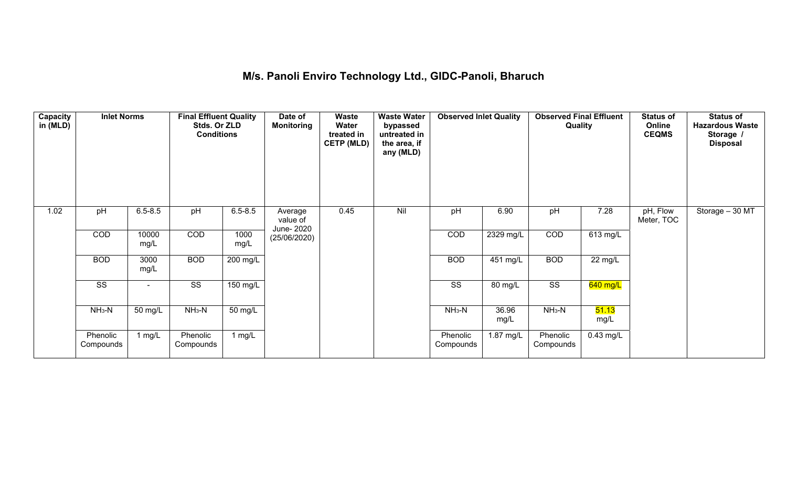# **M/s. Panoli Enviro Technology Ltd., GIDC-Panoli, Bharuch**

| Capacity<br>in (MLD) | <b>Inlet Norms</b>     |                          | <b>Final Effluent Quality</b><br>Stds. Or ZLD<br><b>Conditions</b> |                    | Date of<br><b>Monitoring</b>      | Waste<br>Water<br>treated in<br><b>CETP (MLD)</b> | <b>Waste Water</b><br>bypassed<br>untreated in<br>the area, if<br>any (MLD) | <b>Observed Inlet Quality</b> |               | <b>Observed Final Effluent</b><br>Quality |                   | <b>Status of</b><br>Online<br><b>CEQMS</b> | <b>Status of</b><br><b>Hazardous Waste</b><br>Storage /<br><b>Disposal</b> |
|----------------------|------------------------|--------------------------|--------------------------------------------------------------------|--------------------|-----------------------------------|---------------------------------------------------|-----------------------------------------------------------------------------|-------------------------------|---------------|-------------------------------------------|-------------------|--------------------------------------------|----------------------------------------------------------------------------|
| 1.02                 | pH                     | $6.5 - 8.5$              | pH                                                                 | $6.5 - 8.5$        | Average<br>value of<br>June- 2020 | 0.45                                              | Nil                                                                         | pH                            | 6.90          | pH                                        | 7.28              | pH, Flow<br>Meter, TOC                     | Storage - 30 MT                                                            |
|                      | COD                    | 10000<br>mg/L            | COD                                                                | 1000<br>mg/L       | (25/06/2020)                      |                                                   |                                                                             | COD                           | 2329 mg/L     | <b>COD</b>                                | 613 mg/L          |                                            |                                                                            |
|                      | <b>BOD</b>             | 3000<br>mg/L             | <b>BOD</b>                                                         | $200$ mg/L         |                                   |                                                   |                                                                             | <b>BOD</b>                    | 451 mg/L      | <b>BOD</b>                                | $22 \text{ mg/L}$ |                                            |                                                                            |
|                      | $\overline{\text{ss}}$ | $\overline{\phantom{0}}$ | $\overline{\text{ss}}$                                             | $150 \text{ mg/L}$ |                                   |                                                   |                                                                             | $\overline{\text{SS}}$        | 80 mg/L       | $\overline{\text{SS}}$                    | 640 mg/L          |                                            |                                                                            |
|                      | $NH3-N$                | 50 mg/L                  | $NH3-N$                                                            | 50 mg/L            |                                   |                                                   |                                                                             | $NH3-N$                       | 36.96<br>mg/L | $NH3-N$                                   | 51.13<br>mg/L     |                                            |                                                                            |
|                      | Phenolic<br>Compounds  | 1 mg/L                   | Phenolic<br>Compounds                                              | 1 $mg/L$           |                                   |                                                   |                                                                             | Phenolic<br>Compounds         | 1.87 mg/L     | Phenolic<br>Compounds                     | $0.43$ mg/L       |                                            |                                                                            |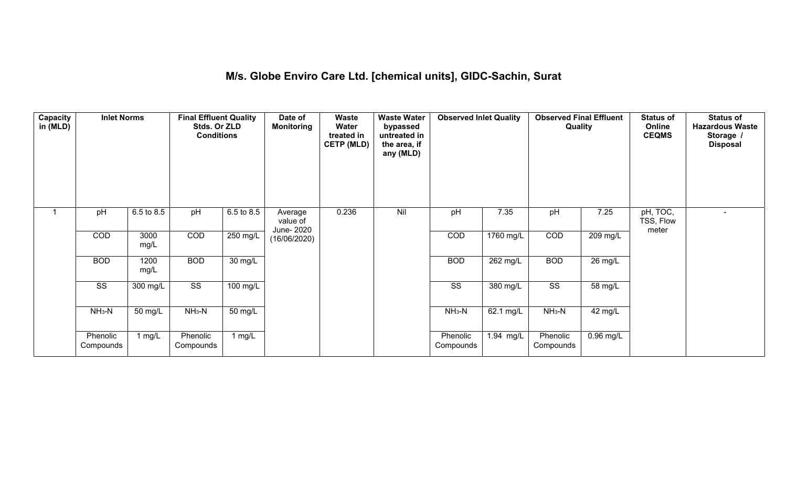## **M/s. Globe Enviro Care Ltd. [chemical units], GIDC-Sachin, Surat**

| Capacity<br>in (MLD) | <b>Inlet Norms</b>     |              | <b>Final Effluent Quality</b><br>Stds. Or ZLD<br><b>Conditions</b> |                      | Date of<br><b>Monitoring</b>      | Waste<br>Water<br>treated in<br><b>CETP (MLD)</b> | <b>Waste Water</b><br>bypassed<br>untreated in<br>the area, if<br>any (MLD) | <b>Observed Inlet Quality</b> |                       | <b>Observed Final Effluent</b><br>Quality |             | <b>Status of</b><br>Online<br><b>CEQMS</b> | <b>Status of</b><br><b>Hazardous Waste</b><br>Storage /<br><b>Disposal</b> |
|----------------------|------------------------|--------------|--------------------------------------------------------------------|----------------------|-----------------------------------|---------------------------------------------------|-----------------------------------------------------------------------------|-------------------------------|-----------------------|-------------------------------------------|-------------|--------------------------------------------|----------------------------------------------------------------------------|
|                      | pH                     | 6.5 to 8.5   | pH                                                                 | 6.5 to 8.5           | Average<br>value of<br>June- 2020 | 0.236                                             | Nil                                                                         | pH                            | 7.35                  | pH                                        | 7.25        | pH, TOC,<br>TSS, Flow<br>meter             |                                                                            |
|                      | COD                    | 3000<br>mg/L | COD                                                                | $250$ mg/L           | (16/06/2020)                      |                                                   |                                                                             | COD                           | 1760 mg/L             | COD                                       | 209 mg/L    |                                            |                                                                            |
|                      | <b>BOD</b>             | 1200<br>mg/L | <b>BOD</b>                                                         | $\overline{30}$ mg/L |                                   |                                                   |                                                                             | <b>BOD</b>                    | $\overline{262}$ mg/L | <b>BOD</b>                                | 26 mg/L     |                                            |                                                                            |
|                      | $\overline{\text{ss}}$ | 300 mg/L     | $\overline{\text{SS}}$                                             | $100 \text{ mg/L}$   |                                   |                                                   |                                                                             | $\overline{\text{ss}}$        | 380 mg/L              | $\overline{\text{SS}}$                    | 58 mg/L     |                                            |                                                                            |
|                      | $NH3-N$                | 50 mg/L      | $NH3-N$                                                            | 50 mg/L              |                                   |                                                   |                                                                             | $NH3-N$                       | 62.1 mg/L             | $NH3-N$                                   | 42 mg/L     |                                            |                                                                            |
|                      | Phenolic<br>Compounds  | 1 mg/L       | Phenolic<br>Compounds                                              | 1 $mg/L$             |                                   |                                                   |                                                                             | Phenolic<br>Compounds         | 1.94 mg/L             | Phenolic<br>Compounds                     | $0.96$ mg/L |                                            |                                                                            |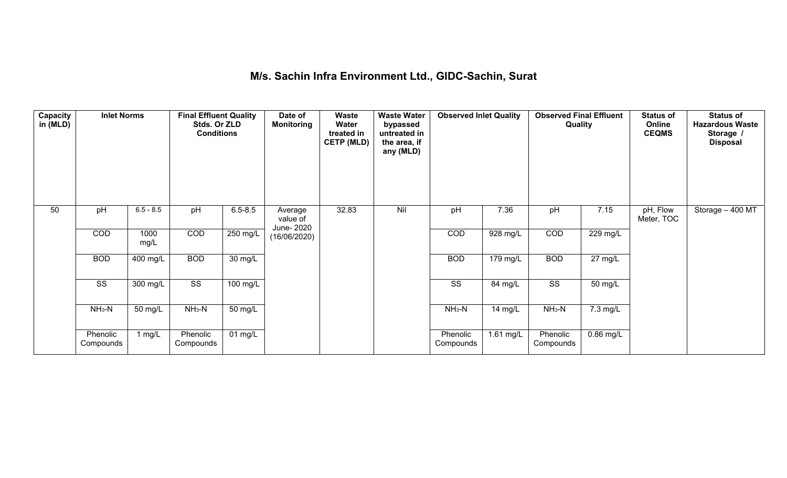## **M/s. Sachin Infra Environment Ltd., GIDC-Sachin, Surat**

| <b>Capacity</b><br>in (MLD) | <b>Inlet Norms</b>     |                       | <b>Final Effluent Quality</b><br>Stds. Or ZLD<br><b>Conditions</b> |                      | Date of<br><b>Monitoring</b>      | Waste<br>Water<br>treated in<br><b>CETP (MLD)</b> | <b>Waste Water</b><br>bypassed<br>untreated in<br>the area, if<br>any (MLD) | <b>Observed Inlet Quality</b> |             | <b>Observed Final Effluent</b><br><b>Quality</b> |                      | <b>Status of</b><br>Online<br><b>CEQMS</b> | <b>Status of</b><br><b>Hazardous Waste</b><br>Storage /<br><b>Disposal</b> |
|-----------------------------|------------------------|-----------------------|--------------------------------------------------------------------|----------------------|-----------------------------------|---------------------------------------------------|-----------------------------------------------------------------------------|-------------------------------|-------------|--------------------------------------------------|----------------------|--------------------------------------------|----------------------------------------------------------------------------|
| 50                          | pH                     | $6.5 - 8.5$           | pH                                                                 | $6.5 - 8.5$          | Average<br>value of<br>June- 2020 | 32.83                                             | Nil                                                                         | pH                            | 7.36        | pH                                               | 7.15                 | pH, Flow<br>Meter, TOC                     | Storage - 400 MT                                                           |
|                             | COD                    | 1000<br>mg/L          | COD                                                                | $250$ mg/L           | (16/06/2020)                      |                                                   |                                                                             | COD                           | $928$ mg/L  | COD                                              | 229 mg/L             |                                            |                                                                            |
|                             | <b>BOD</b>             | $\overline{400}$ mg/L | <b>BOD</b>                                                         | $\overline{30}$ mg/L |                                   |                                                   |                                                                             | <b>BOD</b>                    | 179 mg/L    | <b>BOD</b>                                       | $27 \text{ mg/L}$    |                                            |                                                                            |
|                             | $\overline{\text{SS}}$ | 300 mg/L              | $\overline{\text{SS}}$                                             | $100 \text{ mg/L}$   |                                   |                                                   |                                                                             | $\overline{\text{ss}}$        | 84 mg/L     | $\overline{\text{SS}}$                           | $\overline{50}$ mg/L |                                            |                                                                            |
|                             | $NH3-N$                | 50 mg/L               | $NH3-N$                                                            | 50 mg/L              |                                   |                                                   |                                                                             | $NH3-N$                       | 14 mg/L     | $NH3-N$                                          | 7.3 mg/L             |                                            |                                                                            |
|                             | Phenolic<br>Compounds  | 1 $mg/L$              | Phenolic<br>Compounds                                              | $01$ mg/L            |                                   |                                                   |                                                                             | Phenolic<br>Compounds         | $1.61$ mg/L | Phenolic<br>Compounds                            | $0.86$ mg/L          |                                            |                                                                            |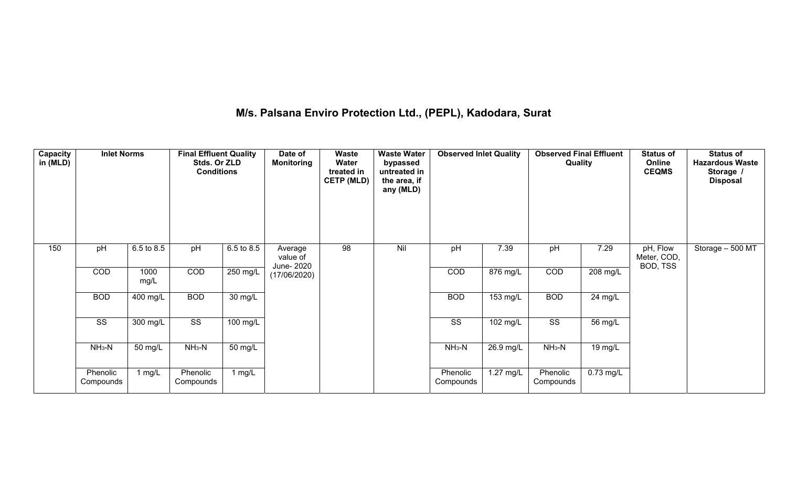# **M/s. Palsana Enviro Protection Ltd., (PEPL), Kadodara, Surat**

| Capacity<br>in (MLD) | <b>Inlet Norms</b>    |                       | <b>Final Effluent Quality</b><br>Stds. Or ZLD<br><b>Conditions</b> |            | Date of<br><b>Monitoring</b>      | <b>Waste</b><br>Water<br>treated in<br><b>CETP (MLD)</b> | <b>Waste Water</b><br>bypassed<br>untreated in<br>the area, if<br>any (MLD) | <b>Observed Inlet Quality</b> |                    | <b>Observed Final Effluent</b><br>Quality |                      | <b>Status of</b><br>Online<br><b>CEQMS</b> | <b>Status of</b><br><b>Hazardous Waste</b><br>Storage /<br><b>Disposal</b> |
|----------------------|-----------------------|-----------------------|--------------------------------------------------------------------|------------|-----------------------------------|----------------------------------------------------------|-----------------------------------------------------------------------------|-------------------------------|--------------------|-------------------------------------------|----------------------|--------------------------------------------|----------------------------------------------------------------------------|
| 150                  | pH                    | 6.5 to 8.5            | pH                                                                 | 6.5 to 8.5 | Average<br>value of<br>June- 2020 | $\overline{98}$                                          | Nil                                                                         | pH                            | 7.39               | pH                                        | 7.29                 | pH, Flow<br>Meter, COD,<br>BOD, TSS        | Storage - 500 MT                                                           |
|                      | COD                   | 1000<br>mg/L          | COD                                                                | $250$ mg/L | (17/06/2020)                      |                                                          |                                                                             | COD                           | 876 mg/L           | COD                                       | $208$ mg/L           |                                            |                                                                            |
|                      | <b>BOD</b>            | $\overline{400}$ mg/L | <b>BOD</b>                                                         | 30 mg/L    |                                   |                                                          |                                                                             | <b>BOD</b>                    | $153 \text{ mg/L}$ | <b>BOD</b>                                | 24 mg/L              |                                            |                                                                            |
|                      | SS                    | 300 mg/L              | SS                                                                 | 100 mg/L   |                                   |                                                          |                                                                             | SS                            | $102 \text{ mg/L}$ | SS                                        | $\overline{56}$ mg/L |                                            |                                                                            |
|                      | $NH3-N$               | 50 mg/L               | $NH3-N$                                                            | 50 mg/L    |                                   |                                                          |                                                                             | $NH3-N$                       | 26.9 mg/L          | $NH3-N$                                   | 19 mg/L              |                                            |                                                                            |
|                      | Phenolic<br>Compounds | 1 $mg/L$              | Phenolic<br>Compounds                                              | 1 $mg/L$   |                                   |                                                          |                                                                             | Phenolic<br>Compounds         | $1.27$ mg/L        | Phenolic<br>Compounds                     | $0.73$ mg/L          |                                            |                                                                            |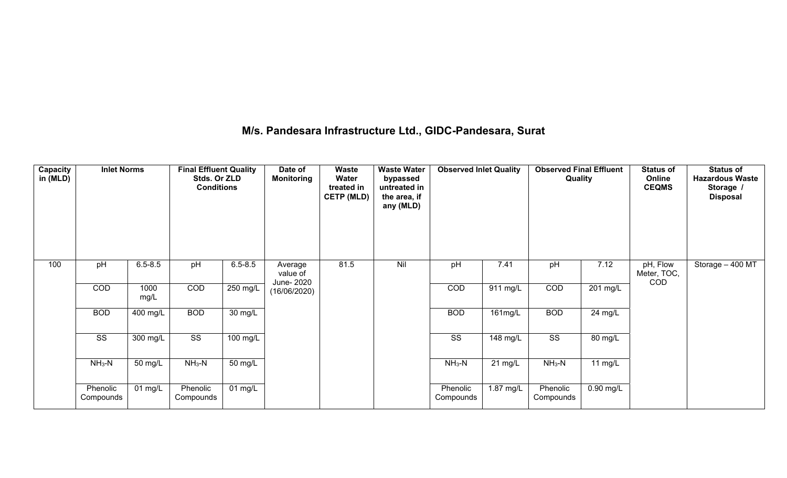## **M/s. Pandesara Infrastructure Ltd., GIDC-Pandesara, Surat**

| Capacity<br>in (MLD) | <b>Inlet Norms</b>     |                    | <b>Final Effluent Quality</b><br>Stds. Or ZLD<br><b>Conditions</b> |                   | Date of<br><b>Monitoring</b> | Waste<br>Water<br>treated in<br><b>CETP (MLD)</b> | <b>Waste Water</b><br>bypassed<br>untreated in<br>the area, if<br>any (MLD) | <b>Observed Inlet Quality</b> |                   | <b>Observed Final Effluent</b><br>Quality |             | <b>Status of</b><br>Online<br><b>CEQMS</b> | <b>Status of</b><br><b>Hazardous Waste</b><br>Storage /<br><b>Disposal</b> |
|----------------------|------------------------|--------------------|--------------------------------------------------------------------|-------------------|------------------------------|---------------------------------------------------|-----------------------------------------------------------------------------|-------------------------------|-------------------|-------------------------------------------|-------------|--------------------------------------------|----------------------------------------------------------------------------|
| 100                  | pH                     | $6.5 - 8.5$        | pH                                                                 | $6.5 - 8.5$       | Average<br>value of          | 81.5                                              | Nil                                                                         | pH                            | 7.41              | pH                                        | 7.12        | pH, Flow<br>Meter, TOC,                    | Storage $-400$ MT                                                          |
|                      | COD                    | 1000<br>mg/L       | COD                                                                | $250$ mg/L        | June- 2020<br>(16/06/2020)   |                                                   |                                                                             | COD                           | $911$ mg/L        | COD                                       | 201 mg/L    | <b>COD</b>                                 |                                                                            |
|                      | <b>BOD</b>             | 400 mg/L           | <b>BOD</b>                                                         | 30 mg/L           |                              |                                                   |                                                                             | <b>BOD</b>                    | $161 \text{mg/L}$ | <b>BOD</b>                                | 24 mg/L     |                                            |                                                                            |
|                      | $\overline{\text{ss}}$ | $300 \text{ mg/L}$ | $\overline{\text{SS}}$                                             | $100$ mg/L        |                              |                                                   |                                                                             | $\overline{\text{SS}}$        | $148$ mg/L        | $\overline{\text{SS}}$                    | 80 mg/L     |                                            |                                                                            |
|                      | $NH3-N$                | 50 mg/L            | $NH3-N$                                                            | 50 mg/L           |                              |                                                   |                                                                             | $NH3-N$                       | $21 \text{ mg/L}$ | $NH3-N$                                   | 11 mg/L     |                                            |                                                                            |
|                      | Phenolic<br>Compounds  | $01$ mg/L          | Phenolic<br>Compounds                                              | $01 \text{ mg/L}$ |                              |                                                   |                                                                             | Phenolic<br>Compounds         | $1.87$ mg/L       | Phenolic<br>Compounds                     | $0.90$ mg/L |                                            |                                                                            |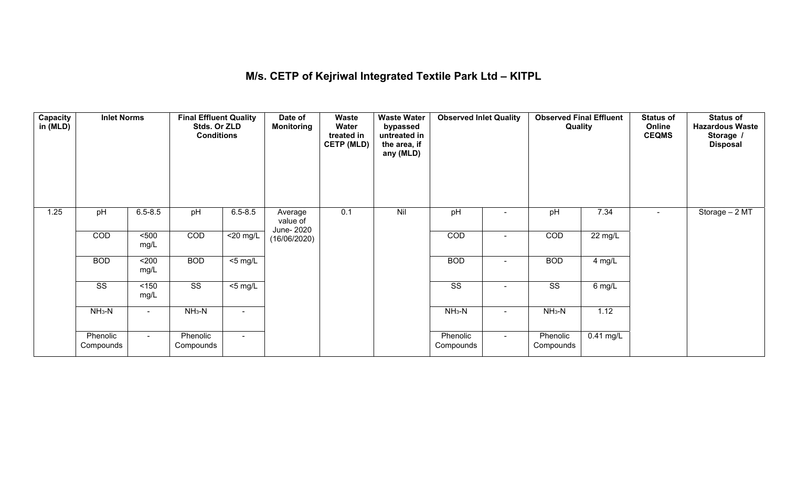## **M/s. CETP of Kejriwal Integrated Textile Park Ltd – KITPL**

| <b>Capacity</b><br>in (MLD) | <b>Inlet Norms</b>     |                | <b>Final Effluent Quality</b><br>Stds. Or ZLD<br><b>Conditions</b> |                     | Date of<br><b>Monitoring</b>      | <b>Waste</b><br>Water<br>treated in<br><b>CETP (MLD)</b> | <b>Waste Water</b><br>bypassed<br>untreated in<br>the area, if<br>any (MLD) | <b>Observed Inlet Quality</b> |                | <b>Observed Final Effluent</b><br>Quality |                   | <b>Status of</b><br>Online<br><b>CEQMS</b> | <b>Status of</b><br><b>Hazardous Waste</b><br>Storage /<br><b>Disposal</b> |
|-----------------------------|------------------------|----------------|--------------------------------------------------------------------|---------------------|-----------------------------------|----------------------------------------------------------|-----------------------------------------------------------------------------|-------------------------------|----------------|-------------------------------------------|-------------------|--------------------------------------------|----------------------------------------------------------------------------|
| $1.25$                      | pH                     | $6.5 - 8.5$    | pH                                                                 | $6.5 - 8.5$         | Average<br>value of<br>June- 2020 | 0.1                                                      | Nil                                                                         | pH                            |                | pH                                        | 7.34              |                                            | Storage - 2 MT                                                             |
|                             | COD                    | 500<br>mg/L    | COD                                                                | $<$ 20 mg/L         | (16/06/2020)                      |                                                          |                                                                             | COD                           | $\blacksquare$ | COD                                       | $22 \text{ mg/L}$ |                                            |                                                                            |
|                             | <b>BOD</b>             | $200$<br>mg/L  | <b>BOD</b>                                                         | $\overline{5}$ mg/L |                                   |                                                          |                                                                             | <b>BOD</b>                    |                | <b>BOD</b>                                | 4 mg/L            |                                            |                                                                            |
|                             | $\overline{\text{ss}}$ | 150<br>mg/L    | $\overline{\text{SS}}$                                             | $<$ 5 mg/L          |                                   |                                                          |                                                                             | $\overline{\text{SS}}$        | $\blacksquare$ | $\overline{\text{ss}}$                    | $6$ mg/L          |                                            |                                                                            |
|                             | $NH3-N$                | $\blacksquare$ | $NH3-N$                                                            | $\blacksquare$      |                                   |                                                          |                                                                             | $NH3-N$                       | $\blacksquare$ | $NH3-N$                                   | 1.12              |                                            |                                                                            |
|                             | Phenolic<br>Compounds  | $\sim$         | Phenolic<br>Compounds                                              | $\sim$              |                                   |                                                          |                                                                             | Phenolic<br>Compounds         | $\sim$         | Phenolic<br>Compounds                     | $0.41$ mg/L       |                                            |                                                                            |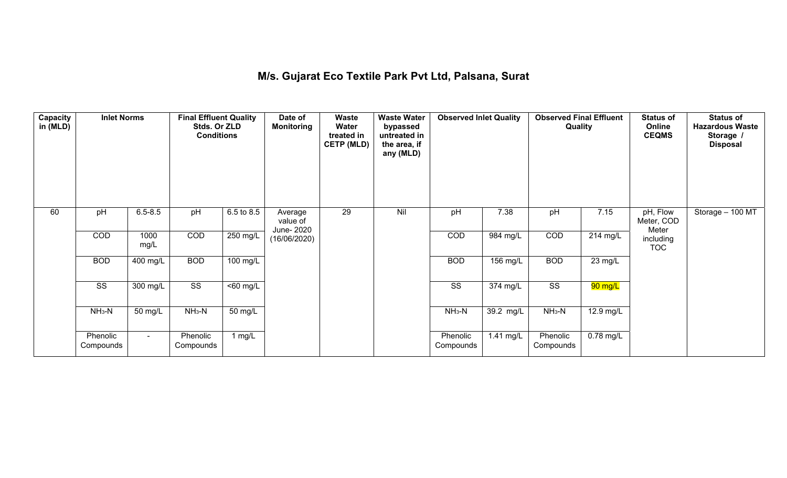## **M/s. Gujarat Eco Textile Park Pvt Ltd, Palsana, Surat**

| Capacity<br>in (MLD) | <b>Inlet Norms</b>     |                       | <b>Final Effluent Quality</b><br>Stds. Or ZLD<br><b>Conditions</b> |                      | Date of<br><b>Monitoring</b>      | Waste<br>Water<br>treated in<br><b>CETP (MLD)</b> | <b>Waste Water</b><br>bypassed<br>untreated in<br>the area, if<br>any (MLD) | <b>Observed Inlet Quality</b> |                       | <b>Observed Final Effluent</b><br>Quality |                       | <b>Status of</b><br>Online<br><b>CEQMS</b> | <b>Status of</b><br><b>Hazardous Waste</b><br>Storage /<br><b>Disposal</b> |
|----------------------|------------------------|-----------------------|--------------------------------------------------------------------|----------------------|-----------------------------------|---------------------------------------------------|-----------------------------------------------------------------------------|-------------------------------|-----------------------|-------------------------------------------|-----------------------|--------------------------------------------|----------------------------------------------------------------------------|
| 60                   | pH                     | $6.5 - 8.5$           | pH                                                                 | 6.5 to 8.5           | Average<br>value of<br>June- 2020 | 29                                                | Nil                                                                         | pH                            | 7.38                  | pH                                        | 7.15                  | pH, Flow<br>Meter, COD<br>Meter            | Storage - 100 MT                                                           |
|                      | COD                    | 1000<br>mg/L          | COD                                                                | $250 \text{ mg/L}$   | (16/06/2020)                      |                                                   |                                                                             | COD                           | 984 mg/L              | COD                                       | $\overline{214}$ mg/L | including<br><b>TOC</b>                    |                                                                            |
|                      | <b>BOD</b>             | $\overline{400}$ mg/L | <b>BOD</b>                                                         | $100$ mg/L           |                                   |                                                   |                                                                             | <b>BOD</b>                    | $156$ mg/L            | <b>BOD</b>                                | 23 mg/L               |                                            |                                                                            |
|                      | $\overline{\text{SS}}$ | 300 mg/L              | $\overline{\text{SS}}$                                             | $\overline{50}$ mg/L |                                   |                                                   |                                                                             | $\overline{\text{ss}}$        | $\overline{374}$ mg/L | $\overline{\text{SS}}$                    | 90 mg/L               |                                            |                                                                            |
|                      | $NH3-N$                | 50 mg/L               | $NH3-N$                                                            | 50 mg/L              |                                   |                                                   |                                                                             | $NH3-N$                       | 39.2 mg/L             | $NH3-N$                                   | 12.9 mg/L             |                                            |                                                                            |
|                      | Phenolic<br>Compounds  | $\sim$                | Phenolic<br>Compounds                                              | 1 mg/L               |                                   |                                                   |                                                                             | Phenolic<br>Compounds         | $1.41$ mg/L           | Phenolic<br>Compounds                     | $0.78$ mg/L           |                                            |                                                                            |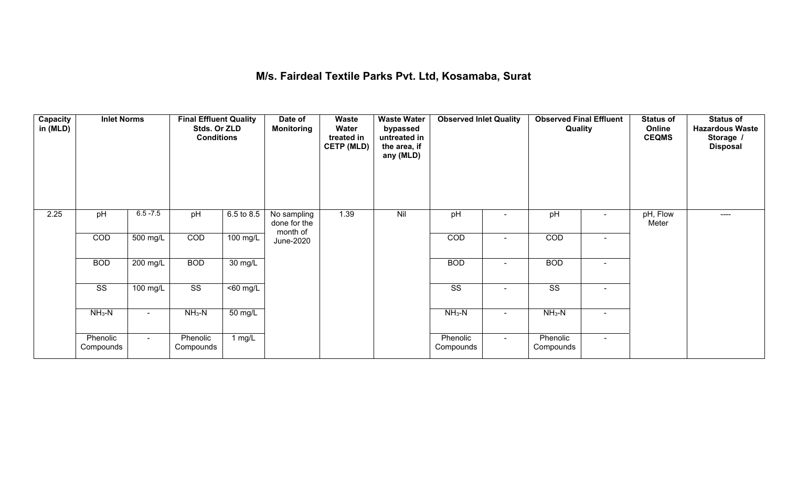## **M/s. Fairdeal Textile Parks Pvt. Ltd, Kosamaba, Surat**

| Capacity<br>in (MLD) | <b>Inlet Norms</b>     |                | <b>Final Effluent Quality</b><br>Stds. Or ZLD<br><b>Conditions</b> |                      | Date of<br><b>Monitoring</b>            | Waste<br>Water<br>treated in<br><b>CETP (MLD)</b> | <b>Waste Water</b><br>bypassed<br>untreated in<br>the area, if<br>any (MLD) | <b>Observed Inlet Quality</b> |                | <b>Observed Final Effluent</b><br>Quality |                | <b>Status of</b><br>Online<br><b>CEQMS</b> | <b>Status of</b><br><b>Hazardous Waste</b><br>Storage /<br><b>Disposal</b> |
|----------------------|------------------------|----------------|--------------------------------------------------------------------|----------------------|-----------------------------------------|---------------------------------------------------|-----------------------------------------------------------------------------|-------------------------------|----------------|-------------------------------------------|----------------|--------------------------------------------|----------------------------------------------------------------------------|
| 2.25                 | pH                     | $6.5 - 7.5$    | pH                                                                 | 6.5 to 8.5           | No sampling<br>done for the<br>month of | 1.39                                              | Nil                                                                         | pH                            |                | pH                                        |                | pH, Flow<br>Meter                          | $---$                                                                      |
|                      | COD                    | $500$ mg/L     | COD                                                                | $100$ mg/L           | June-2020                               |                                                   |                                                                             | COD                           | $\blacksquare$ | COD                                       | $\blacksquare$ |                                            |                                                                            |
|                      | <b>BOD</b>             | 200 mg/L       | <b>BOD</b>                                                         | $30 \text{ mg/L}$    |                                         |                                                   |                                                                             | <b>BOD</b>                    | $\blacksquare$ | <b>BOD</b>                                | $\blacksquare$ |                                            |                                                                            |
|                      | $\overline{\text{ss}}$ | 100 mg/L       | $\overline{\text{ss}}$                                             | $\overline{50}$ mg/L |                                         |                                                   |                                                                             | $\overline{\text{ss}}$        | $\sim$         | $\overline{\text{ss}}$                    | $\blacksquare$ |                                            |                                                                            |
|                      | $NH3-N$                | $\blacksquare$ | $NH3-N$                                                            | 50 mg/L              |                                         |                                                   |                                                                             | $NH3-N$                       | $\blacksquare$ | $NH_3-N$                                  | $\blacksquare$ |                                            |                                                                            |
|                      | Phenolic<br>Compounds  | $\blacksquare$ | Phenolic<br>Compounds                                              | 1 $mg/L$             |                                         |                                                   |                                                                             | Phenolic<br>Compounds         | $\sim$         | Phenolic<br>Compounds                     | $\sim$         |                                            |                                                                            |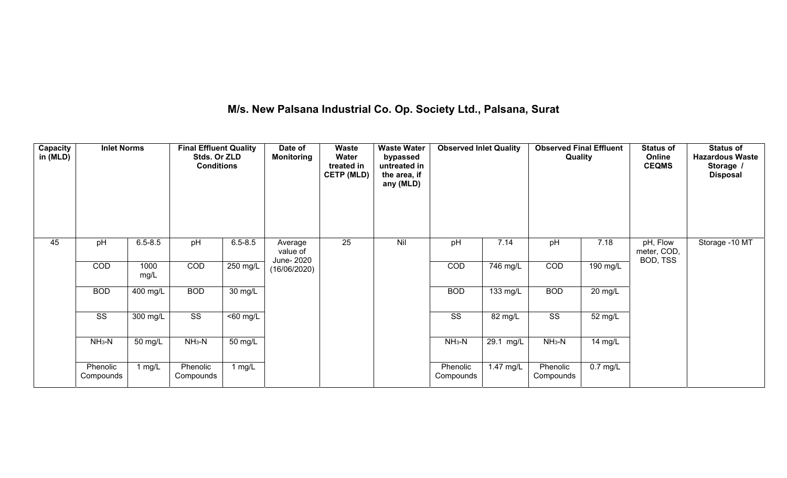# **M/s. New Palsana Industrial Co. Op. Society Ltd., Palsana, Surat**

| Capacity<br>in (MLD) | <b>Inlet Norms</b>     |              | <b>Final Effluent Quality</b><br>Stds. Or ZLD<br><b>Conditions</b> |                      | Date of<br><b>Monitoring</b>      | Waste<br>Water<br>treated in<br><b>CETP (MLD)</b> | <b>Waste Water</b><br>bypassed<br>untreated in<br>the area, if<br>any (MLD) | <b>Observed Inlet Quality</b> |                        | <b>Observed Final Effluent</b><br>Quality |                      | <b>Status of</b><br>Online<br><b>CEQMS</b> | <b>Status of</b><br><b>Hazardous Waste</b><br>Storage /<br><b>Disposal</b> |
|----------------------|------------------------|--------------|--------------------------------------------------------------------|----------------------|-----------------------------------|---------------------------------------------------|-----------------------------------------------------------------------------|-------------------------------|------------------------|-------------------------------------------|----------------------|--------------------------------------------|----------------------------------------------------------------------------|
| 45                   | pH                     | $6.5 - 8.5$  | pH                                                                 | $6.5 - 8.5$          | Average<br>value of<br>June- 2020 | 25                                                | Nil                                                                         | pH                            | 7.14                   | pH                                        | 7.18                 | pH, Flow<br>meter, COD,<br>BOD, TSS        | Storage -10 MT                                                             |
|                      | COD                    | 1000<br>mg/L | COD                                                                | $250$ mg/L           | (16/06/2020)                      |                                                   |                                                                             | COD                           | 746 mg/L               | <b>COD</b>                                | $190$ mg/L           |                                            |                                                                            |
|                      | <b>BOD</b>             | $400$ mg/L   | <b>BOD</b>                                                         | $\overline{30}$ mg/L |                                   |                                                   |                                                                             | <b>BOD</b>                    | 133 mg/L               | <b>BOD</b>                                | $\overline{20}$ mg/L |                                            |                                                                            |
|                      | $\overline{\text{ss}}$ | 300 mg/L     | $\overline{\text{SS}}$                                             | $\overline{60}$ mg/L |                                   |                                                   |                                                                             | $\overline{\text{SS}}$        | $\overline{82}$ mg/L   | $\overline{\text{SS}}$                    | $\overline{52}$ mg/L |                                            |                                                                            |
|                      | $NH3-N$                | 50 mg/L      | $NH3-N$                                                            | $\overline{50}$ mg/L |                                   |                                                   |                                                                             | $NH3-N$                       | $\overline{29.1}$ mg/L | $NH3-N$                                   | $14$ mg/L            |                                            |                                                                            |
|                      | Phenolic<br>Compounds  | 1 mg/L       | Phenolic<br>Compounds                                              | 1 $mg/L$             |                                   |                                                   |                                                                             | Phenolic<br>Compounds         | 1.47 mg/L              | Phenolic<br>Compounds                     | $0.7$ mg/L           |                                            |                                                                            |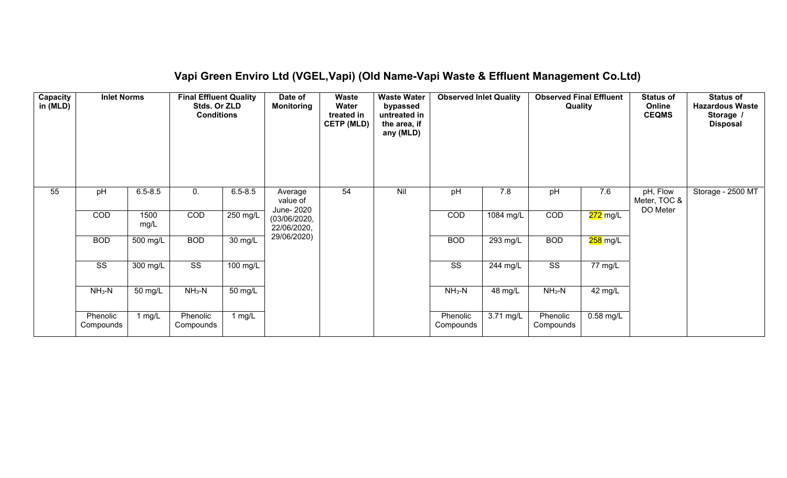## **Vapi Green Enviro Ltd (VGEL,Vapi) (Old Name-Vapi Waste & Effluent Management Co.Ltd)**

| Capacity<br>in (MLD) | <b>Inlet Norms</b><br>pH<br>$6.5 - 8.5$ |              | <b>Final Effluent Quality</b><br>Stds. Or ZLD<br><b>Conditions</b> |                      | Date of<br><b>Monitoring</b>      | Waste<br><b>Water</b><br>treated in<br><b>CETP (MLD)</b> | <b>Waste Water</b><br>bypassed<br>untreated in<br>the area, if<br>any (MLD) | <b>Observed Inlet Quality</b> |             | <b>Observed Final Effluent</b><br>Quality |                      | <b>Status of</b><br>Online<br><b>CEQMS</b> | <b>Status of</b><br><b>Hazardous Waste</b><br>Storage /<br><b>Disposal</b> |
|----------------------|-----------------------------------------|--------------|--------------------------------------------------------------------|----------------------|-----------------------------------|----------------------------------------------------------|-----------------------------------------------------------------------------|-------------------------------|-------------|-------------------------------------------|----------------------|--------------------------------------------|----------------------------------------------------------------------------|
| 55                   |                                         |              | 0.                                                                 | $6.5 - 8.5$          | Average<br>value of<br>June- 2020 | 54                                                       | Nil                                                                         | pH                            | 7.8         | pH                                        | 7.6                  | pH, Flow<br>Meter, TOC &<br>DO Meter       | Storage - 2500 MT                                                          |
|                      | COD                                     | 1500<br>mg/L | COD                                                                | 250 mg/L             | (03/06/2020,<br>22/06/2020,       |                                                          |                                                                             | COD                           | $1084$ mg/L | COD                                       | 272 mg/L             |                                            |                                                                            |
|                      | <b>BOD</b>                              | 500 mg/L     | <b>BOD</b>                                                         | $\overline{30}$ mg/L | 29/06/2020)                       |                                                          |                                                                             | <b>BOD</b>                    | $293$ mg/L  | <b>BOD</b>                                | 258 mg/L             |                                            |                                                                            |
|                      | $\overline{\text{ss}}$                  | $300$ mg/L   | $\overline{\text{SS}}$                                             | $100$ mg/L           |                                   |                                                          |                                                                             | $\overline{\text{SS}}$        | 244 mg/L    | $\overline{\text{ss}}$                    | $\overline{77}$ mg/L |                                            |                                                                            |
|                      | $NH3-N$                                 | 50 mg/L      | $NH3-N$                                                            | $50 \text{ mg/L}$    |                                   |                                                          |                                                                             | $NH3-N$                       | 48 mg/L     | $NH3-N$                                   | 42 mg/L              |                                            |                                                                            |
|                      | Phenolic<br>Compounds                   | 1 $mg/L$     | Phenolic<br>Compounds                                              | 1 mg/L               |                                   |                                                          |                                                                             | Phenolic<br>Compounds         | 3.71 mg/L   | Phenolic<br>Compounds                     | $0.58$ mg/L          |                                            |                                                                            |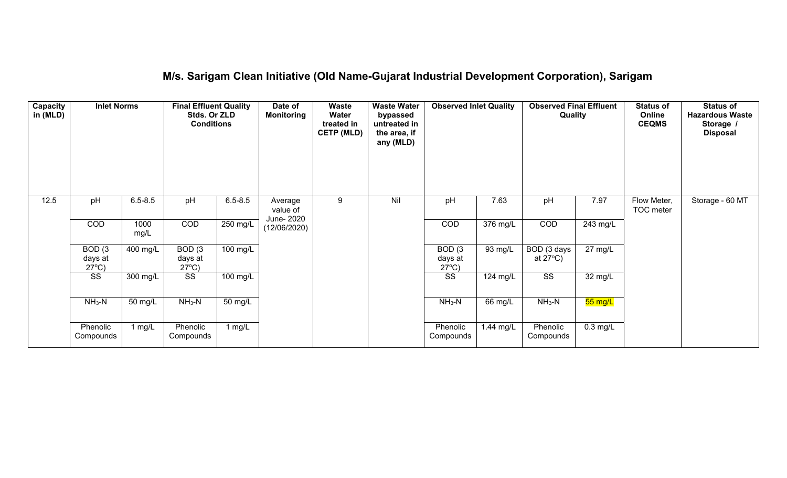## **M/s. Sarigam Clean Initiative (Old Name-Gujarat Industrial Development Corporation), Sarigam**

| Capacity<br>in (MLD) | <b>Inlet Norms</b><br>$6.5 - 8.5$<br>pH       |              | <b>Final Effluent Quality</b><br>Stds. Or ZLD<br><b>Conditions</b> |                    | Date of<br><b>Monitoring</b>      | Waste<br><b>Water</b><br>treated in<br><b>CETP (MLD)</b> | <b>Waste Water</b><br>bypassed<br>untreated in<br>the area, if<br>any (MLD) | <b>Observed Inlet Quality</b>                   |           | <b>Observed Final Effluent</b><br>Quality |                   | <b>Status of</b><br>Online<br><b>CEQMS</b> | <b>Status of</b><br><b>Hazardous Waste</b><br>Storage /<br><b>Disposal</b> |
|----------------------|-----------------------------------------------|--------------|--------------------------------------------------------------------|--------------------|-----------------------------------|----------------------------------------------------------|-----------------------------------------------------------------------------|-------------------------------------------------|-----------|-------------------------------------------|-------------------|--------------------------------------------|----------------------------------------------------------------------------|
| 12.5                 |                                               |              | pH                                                                 | $6.5 - 8.5$        | Average<br>value of<br>June- 2020 | 9                                                        | Nil                                                                         | pH                                              | 7.63      | pH                                        | 7.97              | Flow Meter,<br>TOC meter                   | Storage - 60 MT                                                            |
|                      | <b>COD</b>                                    | 1000<br>mg/L | COD                                                                | 250 mg/L           | (12/06/2020)                      |                                                          |                                                                             | COD                                             | 376 mg/L  | <b>COD</b>                                | 243 mg/L          |                                            |                                                                            |
|                      | BOD <sub>(3</sub><br>days at<br>$27^{\circ}C$ | 400 mg/L     | BOD(3)<br>days at<br>$27^{\circ}C$ )                               | $100 \text{ mg/L}$ |                                   |                                                          |                                                                             | BOD <sub>(3</sub><br>days at<br>$27^{\circ}C$ ) | 93 mg/L   | BOD (3 days<br>at $27^{\circ}$ C)         | $27 \text{ mg/L}$ |                                            |                                                                            |
|                      | SS                                            | 300 mg/L     | SS                                                                 | 100 mg/L           |                                   |                                                          |                                                                             | $\overline{\text{SS}}$                          | 124 mg/L  | $\overline{\text{SS}}$                    | 32 mg/L           |                                            |                                                                            |
|                      | $NH3-N$                                       | 50 mg/L      | $NH_3-N$                                                           | 50 mg/L            |                                   |                                                          |                                                                             | $NH3-N$                                         | $66$ mg/L | $NH3-N$                                   | $55 \text{ mg/L}$ |                                            |                                                                            |
|                      | Phenolic<br>Compounds                         | 1 $mg/L$     | Phenolic<br>Compounds                                              | 1 $mg/L$           |                                   |                                                          |                                                                             | Phenolic<br>Compounds                           | 1.44 mg/L | Phenolic<br>Compounds                     | $0.3$ mg/L        |                                            |                                                                            |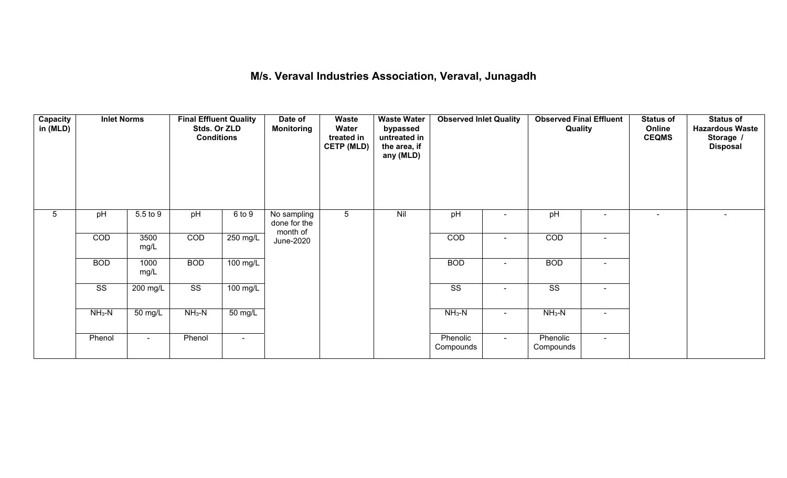## **M/s. Veraval Industries Association, Veraval, Junagadh**

| <b>Capacity</b><br>in (MLD) | 5.5 to 9<br>pH         |                    | <b>Final Effluent Quality</b><br>Stds. Or ZLD<br><b>Conditions</b> |                    | Date of<br><b>Monitoring</b>            | Waste<br>Water<br>treated in<br><b>CETP (MLD)</b> | <b>Waste Water</b><br>bypassed<br>untreated in<br>the area, if<br>any (MLD) | <b>Observed Inlet Quality</b> |                          | <b>Observed Final Effluent</b><br>Quality |                | <b>Status of</b><br>Online<br><b>CEQMS</b> | <b>Status of</b><br><b>Hazardous Waste</b><br>Storage /<br><b>Disposal</b> |
|-----------------------------|------------------------|--------------------|--------------------------------------------------------------------|--------------------|-----------------------------------------|---------------------------------------------------|-----------------------------------------------------------------------------|-------------------------------|--------------------------|-------------------------------------------|----------------|--------------------------------------------|----------------------------------------------------------------------------|
| 5                           |                        |                    | pH                                                                 | 6 to 9             | No sampling<br>done for the<br>month of | 5                                                 | Nil                                                                         | pH                            |                          | pH                                        | $\blacksquare$ | $\blacksquare$                             |                                                                            |
|                             | COD                    | 3500<br>mg/L       | COD                                                                | 250 mg/L           | June-2020                               |                                                   |                                                                             | COD                           |                          | COD                                       | $\blacksquare$ |                                            |                                                                            |
|                             | <b>BOD</b>             | 1000<br>mg/L       | <b>BOD</b>                                                         | $100 \text{ mg/L}$ |                                         |                                                   |                                                                             | <b>BOD</b>                    | $\overline{\phantom{a}}$ | <b>BOD</b>                                | $\blacksquare$ |                                            |                                                                            |
|                             | $\overline{\text{ss}}$ | $200 \text{ mg/L}$ | $\overline{\text{SS}}$                                             | $100 \text{ mg/L}$ |                                         |                                                   |                                                                             | $\overline{\text{ss}}$        | $\blacksquare$           | $\overline{\text{ss}}$                    | $\blacksquare$ |                                            |                                                                            |
|                             | $NH3-N$<br>50 mg/L     | $NH3-N$            | $\overline{50}$ mg/L                                               |                    |                                         |                                                   | $NH3-N$                                                                     | $\overline{\phantom{0}}$      | $NH3-N$                  | $\blacksquare$                            |                |                                            |                                                                            |
|                             | Phenol                 | $\blacksquare$     | Phenol                                                             | $\blacksquare$     |                                         |                                                   |                                                                             | Phenolic<br>Compounds         | $\sim$                   | Phenolic<br>Compounds                     | $\blacksquare$ |                                            |                                                                            |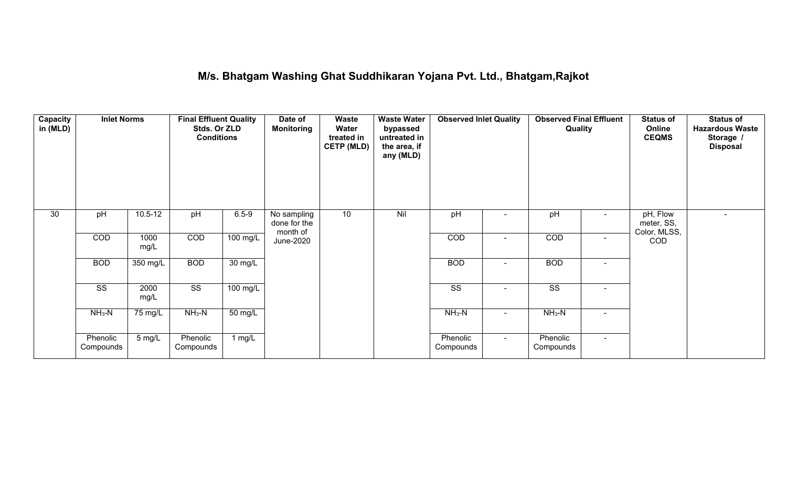## **M/s. Bhatgam Washing Ghat Suddhikaran Yojana Pvt. Ltd., Bhatgam,Rajkot**

| Capacity<br>in (MLD) | <b>Inlet Norms</b><br>$10.5 - 12$ |                    | <b>Final Effluent Quality</b><br>Stds. Or ZLD<br><b>Conditions</b> |                    | Date of<br><b>Monitoring</b>            | <b>Waste</b><br>Water<br>treated in<br><b>CETP (MLD)</b> | <b>Waste Water</b><br>bypassed<br>untreated in<br>the area, if<br>any (MLD) | <b>Observed Inlet Quality</b> |                | <b>Observed Final Effluent</b><br>Quality |                | <b>Status of</b><br>Online<br><b>CEQMS</b> | <b>Status of</b><br><b>Hazardous Waste</b><br>Storage /<br><b>Disposal</b> |
|----------------------|-----------------------------------|--------------------|--------------------------------------------------------------------|--------------------|-----------------------------------------|----------------------------------------------------------|-----------------------------------------------------------------------------|-------------------------------|----------------|-------------------------------------------|----------------|--------------------------------------------|----------------------------------------------------------------------------|
| 30                   | pH                                |                    | pH                                                                 | $6.5 - 9$          | No sampling<br>done for the<br>month of | 10                                                       | Nil                                                                         | pH                            |                | pH                                        |                | pH, Flow<br>meter, SS,<br>Color, MLSS,     | $\blacksquare$                                                             |
|                      | COD                               | 1000<br>mg/L       | COD                                                                | $100$ mg/L         | June-2020                               |                                                          |                                                                             | COD                           | ۰              | COD                                       | $\sim$         | COD                                        |                                                                            |
|                      | <b>BOD</b>                        | 350 mg/L           | <b>BOD</b>                                                         | 30 mg/L            |                                         |                                                          |                                                                             | <b>BOD</b>                    | $\blacksquare$ | <b>BOD</b>                                | $\sim$         |                                            |                                                                            |
|                      | $\overline{\text{ss}}$            | 2000<br>mg/L       | $\overline{\text{SS}}$                                             | $100 \text{ mg/L}$ |                                         |                                                          |                                                                             | $\overline{\text{SS}}$        | ۰              | $\overline{\text{ss}}$                    | $\sim$         |                                            |                                                                            |
|                      | $NH3-N$                           | 75 mg/L<br>$NH3-N$ |                                                                    | 50 mg/L            |                                         |                                                          |                                                                             | $NH3-N$                       | ۰              | $NH3-N$                                   | $\blacksquare$ |                                            |                                                                            |
|                      | Phenolic<br>Compounds             | 5 mg/L             | Phenolic<br>Compounds                                              | 1 $mg/L$           |                                         |                                                          |                                                                             | Phenolic<br>Compounds         | $\sim$         | Phenolic<br>Compounds                     | $\sim$         |                                            |                                                                            |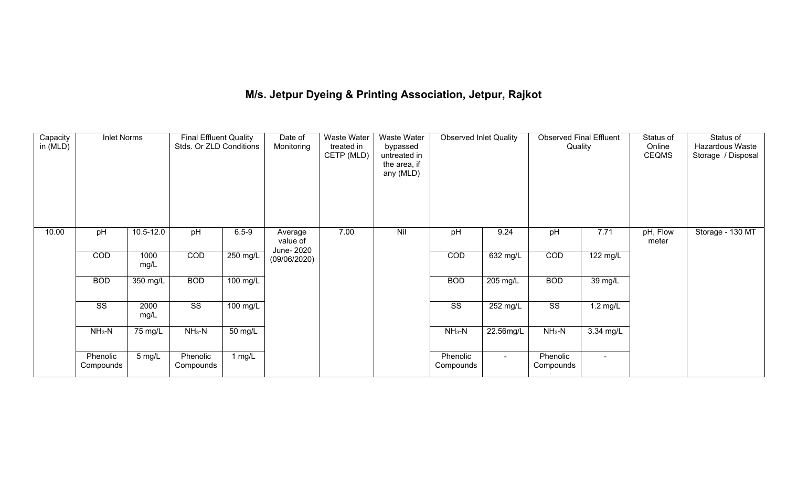# **M/s. Jetpur Dyeing & Printing Association, Jetpur, Rajkot**

| Capacity<br>in (MLD) | <b>Inlet Norms</b>    |               | <b>Final Effluent Quality</b><br>Stds. Or ZLD Conditions |            | Waste Water<br>Waste Water<br>Date of<br>Monitoring<br>treated in<br>bypassed<br>CETP (MLD)<br>untreated in<br>the area, if<br>any (MLD) |      | <b>Observed Inlet Quality</b> |                       | <b>Observed Final Effluent</b><br>Quality<br>pH<br>7.71 |                       | Status of<br>Online<br><b>CEQMS</b> | Status of<br>Hazardous Waste<br>Storage / Disposal |                  |
|----------------------|-----------------------|---------------|----------------------------------------------------------|------------|------------------------------------------------------------------------------------------------------------------------------------------|------|-------------------------------|-----------------------|---------------------------------------------------------|-----------------------|-------------------------------------|----------------------------------------------------|------------------|
| 10.00                | pH                    | $10.5 - 12.0$ | pH                                                       | $6.5 - 9$  | Average<br>value of                                                                                                                      | 7.00 | Nil                           | pH                    | 9.24                                                    |                       |                                     | pH, Flow<br>meter                                  | Storage - 130 MT |
|                      | COD                   | 1000<br>mg/L  | COD                                                      | $250$ mg/L | June- 2020<br>(09/06/2020)                                                                                                               |      |                               | COD                   | $632 \text{ mg/L}$                                      | COD                   | 122 mg/L                            |                                                    |                  |
|                      | <b>BOD</b>            | 350 mg/L      | <b>BOD</b>                                               | 100 mg/L   |                                                                                                                                          |      |                               | <b>BOD</b>            | $205 \text{ mg/L}$                                      | <b>BOD</b>            | 39 mg/L                             |                                                    |                  |
|                      | SS                    | 2000<br>mg/L  | SS                                                       | 100 mg/L   |                                                                                                                                          |      |                               | SS                    | 252 mg/L                                                | SS                    | $1.2 \text{ mg/L}$                  |                                                    |                  |
|                      | 75 mg/L<br>$NH3-N$    | $NH_3-N$      | 50 mg/L                                                  |            |                                                                                                                                          |      | $NH_3-N$                      | 22.56mg/L             | $NH_3-N$                                                | 3.34 mg/L             |                                     |                                                    |                  |
|                      | Phenolic<br>Compounds | 5 mg/L        | Phenolic<br>Compounds                                    | 1 $mg/L$   |                                                                                                                                          |      |                               | Phenolic<br>Compounds | $\sim$                                                  | Phenolic<br>Compounds | $\blacksquare$                      |                                                    |                  |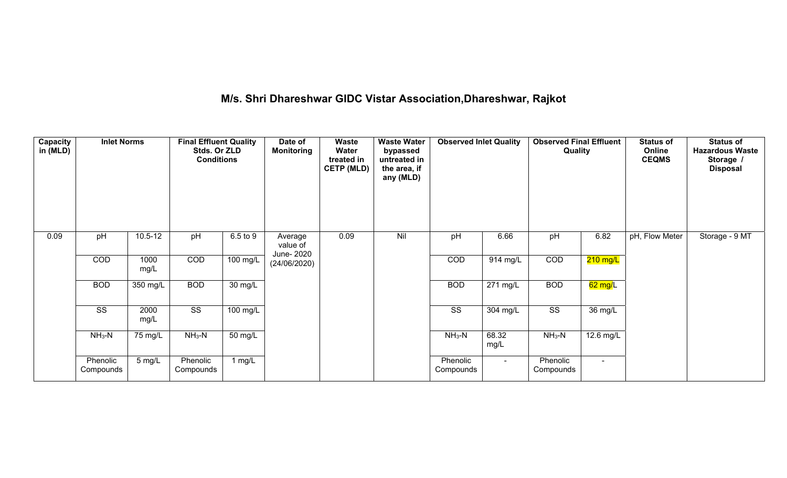# **M/s. Shri Dhareshwar GIDC Vistar Association,Dhareshwar, Rajkot**

| Capacity<br>in (MLD) | <b>Inlet Norms</b>     |              | <b>Final Effluent Quality</b><br>Stds. Or ZLD<br><b>Conditions</b> |                      | Date of<br><b>Waste</b><br><b>Waste Water</b><br>Water<br><b>Monitoring</b><br>bypassed<br>untreated in<br>treated in<br><b>CETP (MLD)</b><br>the area, if<br>any (MLD) |      | <b>Observed Inlet Quality</b> |                        | Quality               |                        | <b>Status of</b><br>Online<br><b>CEQMS</b> | <b>Status of</b><br><b>Hazardous Waste</b><br>Storage /<br><b>Disposal</b> |                |
|----------------------|------------------------|--------------|--------------------------------------------------------------------|----------------------|-------------------------------------------------------------------------------------------------------------------------------------------------------------------------|------|-------------------------------|------------------------|-----------------------|------------------------|--------------------------------------------|----------------------------------------------------------------------------|----------------|
| 0.09                 | pH                     | $10.5 - 12$  | pH                                                                 | 6.5 to 9             | Average<br>value of<br>June- 2020                                                                                                                                       | 0.09 | Nil                           | pH                     | 6.66                  | pH                     | 6.82                                       | pH, Flow Meter                                                             | Storage - 9 MT |
|                      | COD                    | 1000<br>mg/L | COD                                                                | 100 mg/L             | (24/06/2020)                                                                                                                                                            |      |                               | COD                    | 914 mg/L              | COD                    | $210$ mg/L                                 |                                                                            |                |
|                      | <b>BOD</b>             | 350 mg/L     | <b>BOD</b>                                                         | $30 \text{ mg/L}$    |                                                                                                                                                                         |      |                               | <b>BOD</b>             | $\overline{271}$ mg/L | <b>BOD</b>             | 62 mg/L                                    |                                                                            |                |
|                      | $\overline{\text{ss}}$ | 2000<br>mg/L | $\overline{\text{SS}}$                                             | $100$ mg/L           |                                                                                                                                                                         |      |                               | $\overline{\text{SS}}$ | 304 mg/L              | $\overline{\text{SS}}$ | 36 mg/L                                    |                                                                            |                |
|                      | $NH3-N$                | 75 mg/L      | $NH3-N$                                                            | $\overline{50}$ mg/L |                                                                                                                                                                         |      |                               | $NH3-N$                | 68.32<br>mg/L         | $NH3-N$                | 12.6 mg/L                                  |                                                                            |                |
|                      | Phenolic<br>Compounds  | 5 mg/L       | Phenolic<br>Compounds                                              | 1 $mg/L$             |                                                                                                                                                                         |      |                               | Phenolic<br>Compounds  | $\sim$                | Phenolic<br>Compounds  |                                            |                                                                            |                |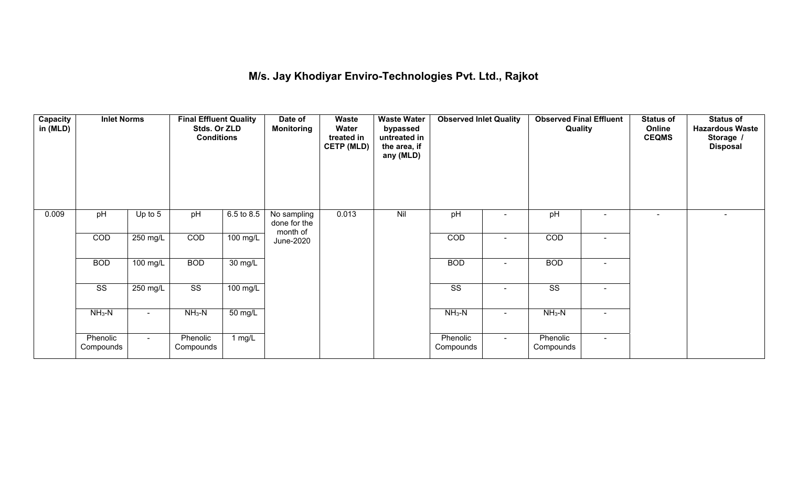## **M/s. Jay Khodiyar Enviro-Technologies Pvt. Ltd., Rajkot**

| Capacity<br>in (MLD) | <b>Inlet Norms</b><br>pH<br>Up to $5$ |                    | <b>Final Effluent Quality</b><br>Stds. Or ZLD<br><b>Conditions</b> |                      | Date of<br><b>Monitoring</b>            | <b>Waste Water</b><br>Waste<br>Water<br>bypassed<br>untreated in<br>treated in<br><b>CETP (MLD)</b><br>the area, if<br>any (MLD) |     | <b>Observed Inlet Quality</b> |                          | Quality                |                | <b>Status of</b><br>Online<br><b>CEQMS</b> | <b>Status of</b><br><b>Hazardous Waste</b><br>Storage /<br><b>Disposal</b> |
|----------------------|---------------------------------------|--------------------|--------------------------------------------------------------------|----------------------|-----------------------------------------|----------------------------------------------------------------------------------------------------------------------------------|-----|-------------------------------|--------------------------|------------------------|----------------|--------------------------------------------|----------------------------------------------------------------------------|
| 0.009                |                                       |                    | pH                                                                 | 6.5 to 8.5           | No sampling<br>done for the<br>month of | 0.013                                                                                                                            | Nil | pH                            |                          | pH                     |                |                                            |                                                                            |
|                      | COD                                   | $250$ mg/L         | COD                                                                | $100$ mg/L           | June-2020                               |                                                                                                                                  |     | COD                           |                          | COD                    | $\blacksquare$ |                                            |                                                                            |
|                      | <b>BOD</b>                            | $100$ mg/L         | <b>BOD</b>                                                         | $\overline{30}$ mg/L |                                         |                                                                                                                                  |     | <b>BOD</b>                    | $\overline{\phantom{0}}$ | <b>BOD</b>             | $\blacksquare$ |                                            |                                                                            |
|                      | $\overline{\text{ss}}$                | $250 \text{ mg/L}$ | $\overline{\text{SS}}$                                             | 100 mg/L             |                                         |                                                                                                                                  |     | $\overline{\text{ss}}$        | $\blacksquare$           | $\overline{\text{ss}}$ | $\blacksquare$ |                                            |                                                                            |
|                      | $NH3-N$                               |                    | $NH3-N$                                                            | 50 mg/L              |                                         |                                                                                                                                  |     | $NH_3-N$                      |                          | $NH3-N$                | $\blacksquare$ |                                            |                                                                            |
|                      | Phenolic<br>Compounds                 | $\sim$             | Phenolic<br>Compounds                                              | 1 mg/L               |                                         |                                                                                                                                  |     | Phenolic<br>Compounds         | $\sim$                   | Phenolic<br>Compounds  | $\blacksquare$ |                                            |                                                                            |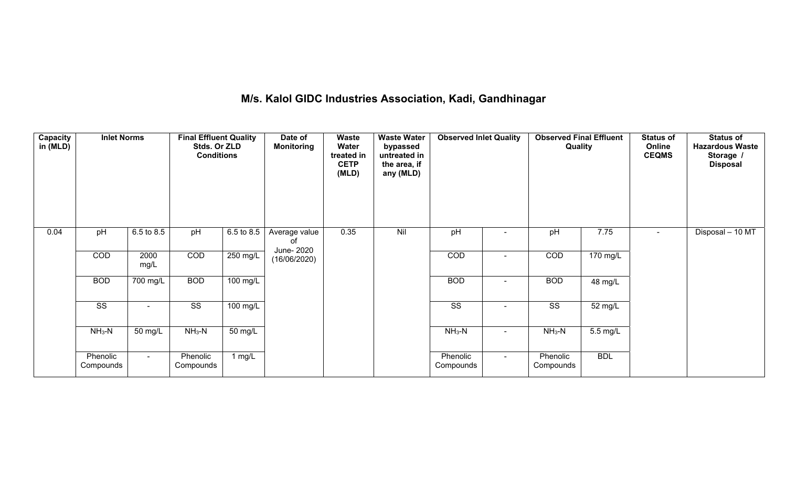## **M/s. Kalol GIDC Industries Association, Kadi, Gandhinagar**

| Capacity<br>in (MLD) | <b>Inlet Norms</b><br>6.5 to 8.5<br>pH |                       | <b>Final Effluent Quality</b><br>Stds. Or ZLD<br><b>Conditions</b> |                    | Date of<br><b>Monitoring</b> | Waste<br>Water<br>treated in<br><b>CETP</b><br>(MLD) | <b>Waste Water</b><br>bypassed<br>untreated in<br>the area, if<br>any (MLD) | <b>Observed Inlet Quality</b> |                | <b>Observed Final Effluent</b><br>Quality |                       | <b>Status of</b><br>Online<br><b>CEQMS</b> | <b>Status of</b><br><b>Hazardous Waste</b><br>Storage /<br><b>Disposal</b> |
|----------------------|----------------------------------------|-----------------------|--------------------------------------------------------------------|--------------------|------------------------------|------------------------------------------------------|-----------------------------------------------------------------------------|-------------------------------|----------------|-------------------------------------------|-----------------------|--------------------------------------------|----------------------------------------------------------------------------|
| 0.04                 |                                        |                       | pH                                                                 | 6.5 to 8.5         | Average value<br>οf          | 0.35                                                 | Nil                                                                         | pH                            |                | pH                                        | 7.75                  |                                            | Disposal - 10 MT                                                           |
|                      | COD                                    | 2000<br>mg/L          | COD                                                                | 250 mg/L           | June- 2020<br>(16/06/2020)   |                                                      |                                                                             | COD                           | $\blacksquare$ | COD                                       | 170 mg/L              |                                            |                                                                            |
|                      | <b>BOD</b>                             | $\overline{700}$ mg/L | <b>BOD</b>                                                         | $100 \text{ mg/L}$ |                              |                                                      |                                                                             | <b>BOD</b>                    | $\blacksquare$ | <b>BOD</b>                                | 48 mg/L               |                                            |                                                                            |
|                      | $\overline{\text{ss}}$                 | $\blacksquare$        | $\overline{\text{SS}}$                                             | 100 mg/L           |                              |                                                      |                                                                             | $\overline{\text{SS}}$        | $\blacksquare$ | $\overline{\text{ss}}$                    | 52 mg/L               |                                            |                                                                            |
|                      | $NH3-N$                                | 50 mg/L               | $NH3-N$                                                            | $50 \text{ mg/L}$  |                              |                                                      |                                                                             | $NH3-N$                       | $\blacksquare$ | $NH3-N$                                   | $\overline{5.5}$ mg/L |                                            |                                                                            |
|                      | Phenolic<br>Compounds                  | $\sim$                | Phenolic<br>Compounds                                              | 1 $mg/L$           |                              |                                                      |                                                                             | Phenolic<br>Compounds         | $\sim$         | Phenolic<br>Compounds                     | <b>BDL</b>            |                                            |                                                                            |